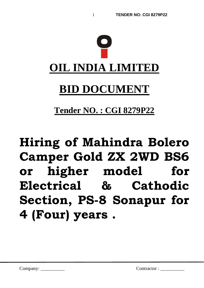

**Tender NO. : CGI 8279P22**

# **Hiring of Mahindra Bolero Camper Gold ZX 2WD BS6 or higher model for Electrical & Cathodic Section, PS-8 Sonapur for 4 (Four) years .**

Company: \_\_\_\_\_\_\_\_\_\_ Contractor : \_\_\_\_\_\_\_\_\_\_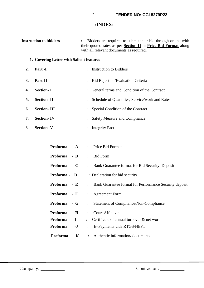## **:INDEX:**

| <b>Instruction to bidders</b> | Bidders are required to submit their bid through online with<br>their quoted rates as per <b>Section-II</b> in <b>Price-Bid Format</b> along<br>with all relevant documents as required. |
|-------------------------------|------------------------------------------------------------------------------------------------------------------------------------------------------------------------------------------|
|                               | 1. Covering Letter with Salient features                                                                                                                                                 |
| Part -I<br>2.                 | Instruction to Bidders                                                                                                                                                                   |
| 3.<br>Part-II                 | : Bid Rejection/Evaluation Criteria                                                                                                                                                      |
| <b>Section-I</b><br>4.        | : General terms and Condition of the Contract                                                                                                                                            |
| <b>Section-II</b><br>5.       | Schedule of Quantities, Service/work and Rates                                                                                                                                           |
| <b>Section-III</b><br>6.      | Special Condition of the Contract                                                                                                                                                        |
| 7.<br><b>Section-IV</b>       | <b>Safety Measure and Compliance</b>                                                                                                                                                     |

8. **Section-** V : Integrity Pact

|              |      | <b>Proforma</b> - A : Price Bid Format                                  |
|--------------|------|-------------------------------------------------------------------------|
|              |      | <b>Proforma</b> - <b>B</b> : Bid Form                                   |
| Proforma - C |      | : Bank Guarantee format for Bid Security Deposit                        |
| Proforma - D |      | : Declaration for bid security                                          |
| Proforma - E |      | : Bank Guarantee format for Performance Security deposit                |
| Proforma - F |      | : Agreement Form                                                        |
| Proforma - G |      | Statement of Compliance/Non-Compliance<br>$\mathcal{I}^{\mathcal{I}}$ . |
| Proforma - H |      | : Court Affidavit                                                       |
| Proforma - I |      | : Certificate of annual turnover $\&$ net worth                         |
| Proforma     | $-J$ | E-Payments vide RTGS/NEFT<br>$\ddot{\cdot}$                             |
| Proforma     | -K   | : Authentic information/documents                                       |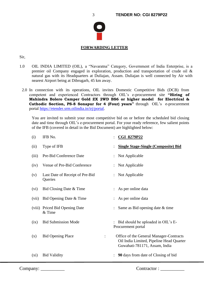

**FORWARDING LETTER**

## Sir,

- 1.0 OIL INDIA LIMITED (OIL), a "Navaratna" Category, Government of India Enterprise, is a premier oil Company engaged in exploration, production and transportation of crude oil & natural gas with its Headquarters at Duliajan, Assam. Duliajan is well connected by Air with nearest Airport being at Dibrugarh, 45 km away.
- 2.0 In connection with its operations, OIL invites Domestic Competitive Bids (DCB) from competent and experienced Contractors through OIL's e-procurement site **"Hiring of Mahindra Bolero Camper Gold ZX 2WD BS6 or higher model for Electrical & Cathodic Section, PS-8 Sonapur for 4 (Four) years"** through OIL's e-procurement portal [https://etender.srm.oilindia.in/irj/portal.](https://etender.srm.oilindia.in/irj/portal)

You are invited to submit your most competitive bid on or before the scheduled bid closing date and time through OIL's e-procurement portal. For your ready reference, few salient points of the IFB (covered in detail in the Bid Document) are highlighted below:

| (i)     | IFB No.                                    | <b>CGI 8279P22</b>                                                                                                   |
|---------|--------------------------------------------|----------------------------------------------------------------------------------------------------------------------|
| (ii)    | Type of IFB                                | <b>Single Stage-Single (Composite) Bid</b>                                                                           |
| (iii)   | Pre-Bid Conference Date                    | Not Applicable                                                                                                       |
| (iv)    | Venue of Pre-Bid Conference                | Not Applicable                                                                                                       |
| (v)     | Last Date of Receipt of Pre-Bid<br>Queries | Not Applicable                                                                                                       |
| (vi)    | Bid Closing Date & Time                    | As per online data                                                                                                   |
| (vii)   | Bid Opening Date & Time                    | As per online data                                                                                                   |
|         | (viii) Priced Bid Opening Date<br>& Time   | Same as Bid opening date & time                                                                                      |
| (ix)    | <b>Bid Submission Mode</b>                 | Bid should be uploaded in OIL's E-<br>Procurement portal                                                             |
| (x)     | <b>Bid Opening Place</b>                   | Office of the General Manager-Contracts<br>Oil India Limited, Pipeline Head Quarter<br>Guwahati-781171, Assam, India |
| $(x_i)$ | <b>Bid Validity</b>                        | <b>90</b> days from date of Closing of bid                                                                           |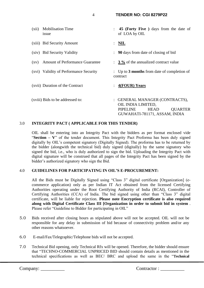4 **TENDER NO: CGI 8279P22** 

(xii) Mobilisation Time : **45 (Forty Five )** days from the date of issue of LOA by OIL (xiii) Bid Security Amount : **NIL** (xiv) Bid Security Validity : **90** days from date of closing of bid (xv) Amount of Performance Guarantee : **3 %** of the annualized contract value (xvi) Validity of Performance Security : Up to **3 months** from date of completion of contract (xvii) Duration of the Contract : **4(FOUR) Years** (xviii) Bids to be addressed to: : GENERAL MANAGER (CONTRACTS), OIL INDIA LIMITED, PIPELINE HEAD OUARTER GUWAHATI-781171, ASSAM, INDIA

## 3.0 **INTEGRITY PACT ( APPLICABLE FOR THIS TENDER)**

OIL shall be entering into an Integrity Pact with the bidders as per format enclosed vide "**Section – V**" of the tender document. This Integrity Pact Proforma has been duly signed digitally by OIL's competent signatory (Digitally Signed). The proforma has to be returned by the bidder (alongwith the technical bid) duly signed (digitally) by the same signatory who signed the bid, i.e., who is duly authorized to sign the bid. Uploading the Integrity Pact with digital signature will be construed that all pages of the Integrity Pact has been signed by the bidder's authorized signatory who sign the Bid.

## 4.0 **GUIDELINES FOR PARTICIPATING IN OIL'S E-PROCUREMENT:**

All the Bids must be Digitally Signed using "Class 3" digital certificate [Organization] (ecommerce application) only as per Indian IT Act obtained from the licensed Certifying Authorities operating under the Root Certifying Authority of India (RCAI), Controller of Certifying Authorities (CCA) of India. The bid signed using other than "Class 3" digital certificate, will be liable for rejection. **Please note Encryption certificate is also required along with Digital Certificate Class III [Organization in order to submit bid in system** . Please refer "Guideline to Bidder for participating in OIL"

- 5.0 Bids received after closing hours as stipulated above will not be accepted. OIL will not be responsible for any delay in submission of bid because of connectivity problem and/or any other reasons whatsoever.
- 6.0 E-mail/Fax/Telegraphic/Telephone bids will not be accepted.
- 7.0 Technical Bid opening, only Technical Rfx will be opened. Therefore, the bidder should ensure that "TECHNO-COMMERCIAL UNPRICED BID should contain details as mentioned in the technical specifications as well as BEC/ BRC and upload the same in the "**Technical**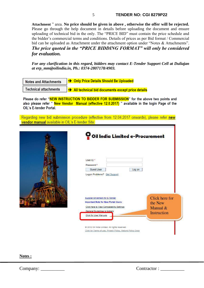**Attachment** " area. **No price should be given in above , otherwise the offer will be rejected.** Please go through the help document in details before uploading the document and ensure uploading of technical bid in the only. The "PRICE BID" must contain the price schedule and the bidder's commercial terms and conditions. Details of prices as per Bid format / Commercial bid can be uploaded as Attachment under the attachment option under "Notes & Attachments". *The price quoted in the "PRICE BIDDING FORMAT" will only be considered for evaluation.*

*For any clarification in this regard, bidders may contact E-Tender Support Cell at Duliajan at erp\_mm@oilindia.in, Ph.: 0374-2807178/4903.*

| <b>Notes and Attachments</b> | <b>EXECUTE: Only Price Details Should Be Uploaded</b>          |
|------------------------------|----------------------------------------------------------------|
| <b>Technical attachments</b> | $\rightarrow$ All technical bid documents except price details |

Please do refer "NEW INSTRUCTION TO BIDDER FOR SUBMISSION" for the above two points and also please refer "New Vendor Manual (effective 12.0.2017) " available in the login Page of the Oll 's F-tender Portal

Regarding new bid submission procedure (effective from 12.04.2017 onwards), please refer new vendor manual available in OIL's E-tender Site:

| Oil India Limited e-Procurement                                                                                                                                                        |                                                      |
|----------------------------------------------------------------------------------------------------------------------------------------------------------------------------------------|------------------------------------------------------|
| User ID <sup>*</sup><br>Password*<br>Guest User<br>Log on<br>Logan Problems? Get Support                                                                                               |                                                      |
| Suppler Enlistment for E-Tender<br><b>Important Note for New Portal Users:</b><br>Click here to View Compatability Settings<br>General Guidelines to bidders<br>Click for User Manuals | Click here for<br>the New<br>Manual &<br>Instruction |
| @ 2012 Oil India Limited. All rights reserved.<br>Click for Terms of use, Privacy Policy, Refund Policy Docs                                                                           |                                                      |

**Notes :**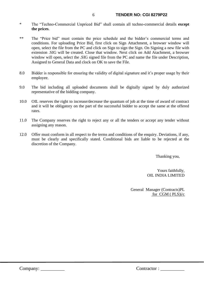- \* The "Techno-Commercial Unpriced Bid" shall contain all techno-commercial details **except the prices**.
- \*\* The "Price bid" must contain the price schedule and the bidder's commercial terms and conditions. For uploading Price Bid, first click on Sign Attachment, a browser window will open, select the file from the PC and click on Sign to sign the Sign. On Signing a new file with extension .SIG will be created. Close that window. Next click on Add Atachment, a browser window will open, select the .SIG signed file from the PC and name the file under Description, Assigned to General Data and clock on OK to save the File.
- 8.0 Bidder is responsible for ensuring the validity of digital signature and it's proper usage by their employee.
- 9.0 The bid including all uploaded documents shall be digitally signed by duly authorized representative of the bidding company.
- 10.0 OIL reserves the right to increase/decrease the quantum of job at the time of award of contract and it will be obligatory on the part of the successful bidder to accept the same at the offered rates.
- 11.0 The Company reserves the right to reject any or all the tenders or accept any tender without assigning any reason.
- 12.0 Offer must conform in all respect to the terms and conditions of the enquiry. Deviations, if any, must be clearly and specifically stated. Conditional bids are liable to be rejected at the discretion of the Company.

Thanking you,

Yours faithfully, OIL INDIA LIMITED

General Manager (Contracts)PL for CGM ( PLS)i/c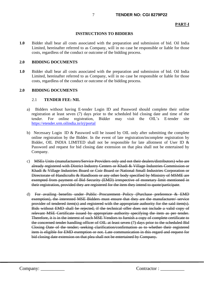#### 7 **TENDER NO: CGI 8279P22**

#### **PART-I**

#### **INSTRUCTIONS TO BIDDERS**

**1.0** Bidder shall bear all costs associated with the preparation and submission of bid. Oil India Limited, hereinafter referred to as Company, will in no case be responsible or liable for those costs, regardless of the conduct or outcome of the bidding process.

#### **2.0 BIDDING DOCUMENTS**

**1.0** Bidder shall bear all costs associated with the preparation and submission of bid. Oil India Limited, hereinafter referred to as Company, will in no case be responsible or liable for those costs, regardless of the conduct or outcome of the bidding process.

#### **2.0 BIDDING DOCUMENTS**

#### 2.1 **TENDER FEE: NIL**

- a) Bidders without having E-tender Login ID and Password should complete their online registration at least seven (7) days prior to the scheduled bid closing date and time of the tender. For online registration, Bidder may visit the OIL's E-tender site <https://etender.srm.oilindia.in/irj/portal>
- b) Necessary Login ID & Password will be issued by OIL only after submitting the complete online registration by the Bidder. In the event of late registration/incomplete registration by Bidder, OIL INDIA LIMITED shall not be responsible for late allotment of User ID  $\&$ Password and request for bid closing date extension on that plea shall not be entertained by Company.
- c) MSEs Units (manufacturers/Service Providers only and not their dealers/distributors) who are already registered with District Industry Centers or Khadi & Village Industries Commission or Khadi & Village Industries Board or Coir Board or National Small Industries Corporation or Directorate of Handicrafts & Handloom or any other body specified by Ministry of MSME are exempted from payment of Bid Security (EMD) irrespective of monetary limit mentioned in their registration, provided they are registered for the item they intend to quote/participate.
- d) For availing benefits under Public Procurement Policy (Purchase preference & EMD exemption), the interested MSE Bidders must ensure that they are the manufacturer/ service provider of tendered item(s) and registered with the appropriate authority for the said item(s). Bids without EMD shall be rejected, if the technical offer does not include a valid copy of relevant MSE Certificate issued by appropriate authority specifying the item as per tender. Therefore, it is in the interest of such MSE Vendors to furnish a copy of complete certificate to the concerned tender handling officer of OIL at least seven (7) days prior to the scheduled Bid Closing Date of the tender; seeking clarification/confirmation as to whether their registered item is eligible for EMD exemption or not. Late communication in this regard and request for bid closing date extension on that plea shall not be entertained by Company.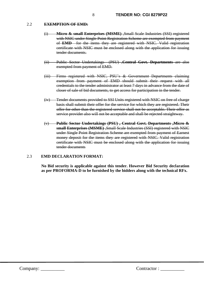#### 2.2 **EXEMPTION OF EMD:**

- (i) **Micro & small Enterprises (MSME)** ,Small Scale Industries (SSI) registered with NSIC under Single Point Registration Scheme are exempted from payment of **EMD** for the items they are registered with NSIC. Valid registration certificate with NSIC must be enclosed along with the application for issuing tender documents.
- (ii) Public Sector Undertakings (PSU) ,**Central Govt. Departments** are also exempted from payment of EMD.
- (iii) Firms registered with NSIC, PSU's & Government Departments claiming exemption from payment of EMD should submit their request with all credentials to the tender administrator at least 7 days in advance from the date of closer of sale of bid documents, to get access for participation in the tender.
- (iv) Tender documents provided to SSI Units registered with NSIC on free of charge basis shall submit their offer for the service for which they are registered. Their offer for other than the registered service shall not be acceptable. Their offer as service provider also will not be acceptable and shall be rejected straightway.
- (v) **Public Sector Undertakings (PSU) , Central Govt. Departments ,Micro & small Enterprises (MSME)** ,Small Scale Industries (SSI) registered with NSIC under Single Point Registration Scheme are exempted from payment of Earnest money deposit for the items they are registered with NSIC. Valid registration certificate with NSIC must be enclosed along with the application for issuing tender documents

## 2.3 **EMD DECLARATION FORMAT:**

**No Bid security is applicable against this tender. However Bid Security declaration as per PROFORMA-D to be furnished by the bidders along with the technical RFx.**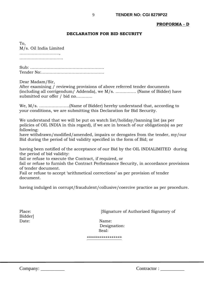## **PROFORMA - D**

#### **DECLARATION FOR BID SECURITY**

To, M/s. Oil India Limited ……………………….., ……………………………………

Sub: ……………………………………………… Tender No:……………………………………….

Dear Madam/Sir,

After examining / reviewing provisions of above referred tender documents (including all corrigendum/ Addenda), we M/s. …………… (Name of Bidder) have submitted our offer / bid no…………

We, M/s. ………………….(Name of Bidder) hereby understand that, according to your conditions, we are submitting this Declaration for Bid Security.

We understand that we will be put on watch list/holiday/banning list (as per policies of OIL INDIA in this regard), if we are in breach of our obligation(s) as per following:

have withdrawn/modified/amended, impairs or derogates from the tender, my/our Bid during the period of bid validity specified in the form of Bid; or

having been notified of the acceptance of our Bid by the OIL INDIALIMITED during the period of bid validity:

fail or refuse to execute the Contract, if required, or

fail or refuse to furnish the Contract Performance Security, in accordance provisions of tender document.

Fail or refuse to accept 'arithmetical corrections' as per provision of tender document.

having indulged in corrupt/fraudulent/collusive/coercive practice as per procedure.

Bidder] Date: Name:

Place: [Signature of Authorized Signatory of

 Designation: Seal:

\*\*\*\*\*\*\*\*\*\*\*\*\*\*\*\*\*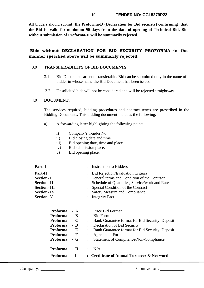10 **TENDER NO: CGI 8279P22** 

All bidders should submit **the Proforma-D (Declaration for Bid security) confirming that the Bid is valid for minimum 90 days from the date of opening of Technical Bid. Bid without submission of Proforma-D will be summarily rejected.**

## **Bids without DECLARATION FOR BID SECURITY PROFORMA in the manner specified above will be summarily rejected.**

#### 3.0 **TRANSFERABILITY OF BID DOCUMENTS**:

- 3.1 Bid Documents are non-transferable. Bid can be submitted only in the name of the bidder in whose name the Bid Document has been issued.
- 3.2 Unsolicited bids will not be considered and will be rejected straightway.

## 4.0 **DOCUMENT:**

The services required, bidding procedures and contract terms are prescribed in the Bidding Documents. This bidding document includes the following:

- a) A forwarding letter highlighting the following points. :
	- i) Company's Tender No.
	- ii) Bid closing date and time.
	- iii) Bid opening date, time and place.
	- iv) Bid submission place.
	- v) Bid opening place.

| <b>Part -I</b>     | : Instruction to Bidders                         |
|--------------------|--------------------------------------------------|
| Part-II            | : Bid Rejection/Evaluation Criteria              |
| <b>Section-I</b>   | : General terms and Condition of the Contract    |
| <b>Section-II</b>  | : Schedule of Quantities, Service/work and Rates |
| <b>Section-III</b> | : Special Condition of the Contract              |
| <b>Section-IV</b>  | : Safety Measure and Compliance                  |
| <b>Section-V</b>   | : Integrity Pact                                 |
|                    |                                                  |

| <b>Proforma</b> | $- A$                                             |               | : Price Bid Format                               |
|-----------------|---------------------------------------------------|---------------|--------------------------------------------------|
| Proforma - B    |                                                   |               | <b>Bid Form</b>                                  |
| Proforma        | $\overline{\phantom{a}}$ $\overline{\phantom{a}}$ |               | : Bank Guarantee format for Bid Security Deposit |
| Proforma        | $-$ D                                             |               | Declaration of Bid Security                      |
| Proforma        | $-E$                                              |               | : Bank Guarantee format for Bid Security Deposit |
| Proforma        | - F                                               |               | <b>Agreement Form</b>                            |
| Proforma - G    |                                                   | $\mathcal{L}$ | Statement of Compliance/Non-Compliance           |
|                 |                                                   |               |                                                  |
| Proforma - H    |                                                   |               | $\therefore$ N/A                                 |
| Proforma        | -1                                                |               | : Certificate of Annual Turnover & Net worth     |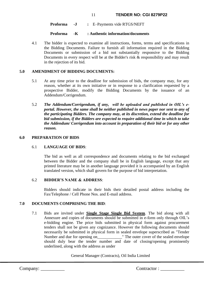#### 11 **TENDER NO: CGI 8279P22**

 **Proforma -J :** E–Payments vide RTGS/NEFT

#### **Proforma -K : Authentic information/documents**

4.1 The bidder is expected to examine all instructions, forms, terms and specifications in the Bidding Documents. Failure to furnish all information required in the Bidding Documents or submission of a bid not substantially responsive to the Bidding Documents in every respect will be at the Bidder's risk & responsibility and may result in the rejection of its bid.

#### **5.0 AMENDMENT OF BIDDING DOCUMENTS:**

- 5.1 At any time prior to the deadline for submission of bids, the company may, for any reason, whether at its own initiative or in response to a clarification requested by a prospective Bidder, modify the Bidding Documents by the issuance of an Addendum/Corrigendum.
- 5.2 *The Addendum/Corrigendum, if any, will be uploaded and published in OIL's eportal. However, the same shall be neither published in news paper nor sent to any of the participating Bidders. The company may, at its discretion, extend the deadline for bid submission, if the Bidders are expected to require additional time in which to take the Addendum/ Corrigendum into account in preparation of their bid or for any other reason.*

#### **6.0 PREPARATION OF BIDS**

#### 6.1 **LANGUAGE OF BIDS**:

The bid as well as all correspondence and documents relating to the bid exchanged between the Bidder and the company shall be in English language, except that any printed literature may be in another language provided it is accompanied by an English translated version, which shall govern for the purpose of bid interpretation.

## 6.2 **BIDDER'S NAME & ADDRESS**:

Bidders should indicate in their bids their detailed postal address including the Fax/Telephone / Cell Phone Nos. and E-mail address.

#### **7.0 DOCUMENTS COMPRISING THE BID**:

7.1 Bids are invited under **Single Stage Single Bid System**. The bid along with all Annexure and copies of documents should be submitted in e-form only through OIL's e-bidding engine. The price bids submitted in physical form against procurement tenders shall not be given any cognizance. However the following documents should necessarily be submitted in physical form in sealed envelope superscribed as "Tender Number and due for opening on The outer cover of the sealed envelope should duly bear the tender number and date of closing/opening prominently underlined, along with the address as under

#### General Manager (Contracts), Oil India Limited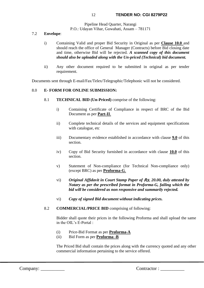Pipeline Head Quarter, Narangi P.O.: Udayan Vihar, Guwahati, Assam – 781171

## 7.2 **Envelope**:

- i) Containing Valid and proper Bid Security in Original as per **Clause 10.0** and should reach the office of General Manager (Contracts) before Bid closing date and time, otherwise Bid will be rejected. *A scanned copy of this document should also be uploaded along with the Un-priced (Technical) bid document.*
- ii) Any other document required to be submitted in original as per tender requirement.

Documents sent through E-mail/Fax/Telex/Telegraphic/Telephonic will not be considered.

## 8.0 **E- FORM FOR ONLINE SUBMISSION:**

- 8.1 **TECHNICAL BID (Un-Priced)** comprise of the following:
	- i) Containing Certificate of Compliance in respect of BRC of the Bid Document as per **Part-II**.
	- ii) Complete technical details of the services and equipment specifications with catalogue, etc
	- iii) Documentary evidence established in accordance with clause **9.0** of this section.
	- iv) Copy of Bid Security furnished in accordance with clause **10.0** of this section.
	- v) Statement of Non-compliance (for Technical Non-compliance only) (except BRC) as per **Proforma-G**.
	- vi) *Original Affidavit in Court Stamp Paper of* Rs. *20.00, duly attested by Notary as per the prescribed format in Proforma-G, failing which the bid will be considered as non responsive and summarily rejected.*
	- vi) *Copy of signed Bid document without indicating prices.*

## 8.2 **COMMERCIAL/PRICE BID** comprising of following:

Bidder shall quote their prices in the following Proforma and shall upload the same in the OIL's E-Portal :

- (i) Price-Bid Format as per **Proforma-A**
- (ii) Bid Form as per **Proforma -B**

The Priced Bid shall contain the prices along with the currency quoted and any other commercial information pertaining to the service offered.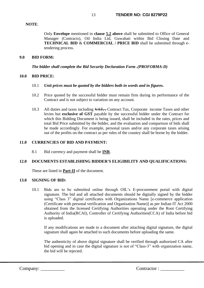#### **NOTE**:

Only **Envelope** mentioned in **clause 5.2 above** shall be submitted to Office of General Manager (Contracts), Oil India Ltd, Guwahati within Bid Closing Date and **TECHNICAL BID** & **COMMERCIAL / PRICE BID** shall be submitted through etendering process.

#### **9.0 BID FORM:**

*The bidder shall complete the Bid Security Declaration Form .(PROFORMA-D)*

## **10.0 BID PRICE:**

- 10.1 *Unit prices must be quoted by the bidders both in words and in figures.*
- 10.2 Price quoted by the successful bidder must remain firm during its performance of the Contract and is not subject to variation on any account.
- 10.3 All duties and taxes including  $\sqrt{AT}$ , Contract Tax, Corporate income Taxes and other levies but **exclusive of GST** payable by the successful bidder under the Contract for which this Bidding Document is being issued, shall be included in the rates, prices and total Bid Price submitted by the bidder, and the evaluation and comparison of bids shall be made accordingly. For example, personal taxes and/or any corporate taxes arising out of the profits on the contract as per rules of the country shall be borne by the bidder.

## **11.0 CURRENCIES OF BID AND PAYMENT:**

8.1 Bid currency and payment shall be **INR**.

## **12.0 DOCUMENTS ESTABLISHING BIDDER'S ELIGIBILITY AND QUALIFICATIONS:**

These are listed in **Part-II** of the document.

#### **13.0 SIGNING OF BID:**

10.1 Bids are to be submitted online through OIL's E-procurement portal with digital signature. The bid and all attached documents should be digitally signed by the bidder using "Class 3" digital certificates with Organizations Name [e-commerce application (Certificate with personal verification and Organisation Name)] as per Indian IT Act 2000 obtained from the licensed Certifying Authorities operating under the Root Certifying Authority of India(RCAI), Controller of Certifying Authorities(CCA) of India before bid is uploaded.

If any modifications are made to a document after attaching digital signature, the digital signature shall again be attached to such documents before uploading the same.

The authenticity of above digital signature shall be verified through authorized CA after bid opening and in case the digital signature is not of "Class-3" with organization name, the bid will be rejected.

Company: \_\_\_\_\_\_\_\_\_\_ Contractor : \_\_\_\_\_\_\_\_\_\_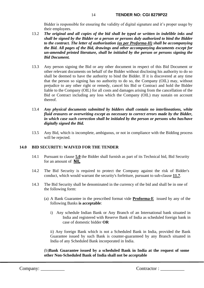Bidder is responsible for ensuring the validity of digital signature and it's proper usage by their employees.

- 13.2 *The original and all copies of the bid shall be typed or written in indelible inks and shall be signed by the Bidder or a person or persons duly authorized to bind the Bidder to the contract. The letter of authorization (as per Proforma-H) shall be accompanying the Bid. All pages of the Bid, drawings and other accompanying documents except for un-amended printed literature, shall be initialed by the person or persons signing the Bid Document.*
- 13.3 Any person signing the Bid or any other document in respect of this Bid Document or other relevant documents on behalf of the Bidder without disclosing his authority to do so shall be deemed to have the authority to bind the Bidder. If it is discovered at any time that the person so signing has no authority to do so, the Company (OIL) may, without prejudice to any other right or remedy, cancel his Bid or Contract and hold the Bidder liable to the Company (OIL) for all costs and damages arising from the cancellation of the Bid or Contract including any loss which the Company (OIL) may sustain on account thereof.
- 13.4 *Any physical documents submitted by bidders shall contain no interlineations, white fluid erasures or overwriting except as necessary to correct errors made by the Bidder, in which case such correction shall be initialed by the person or persons who has/have digitally signed the Bid.*
- 13.5 Any Bid, which is incomplete, ambiguous, or not in compliance with the Bidding process will be rejected.

## **14.0 BID SECURITY: WAIVED FOR THE TENDER**

- 14.1 Pursuant to clause **5.0** the Bidder shall furnish as part of its Technical bid, Bid Security for an amount of NIL
- 14.2 The Bid Security is required to protect the Company against the risk of Bidder's conduct, which would warrant the security's forfeiture, pursuant to sub-clause **11.7**.
- 14.3 The Bid Security shall be denominated in the currency of the bid and shall be in one of the following form:
	- (a) A Bank Guarantee in the prescribed format vide **Proforma-E** issued by any of the following Banks **is acceptable**:
		- i) Any schedule Indian Bank or Any Branch of an International bank situated in India and registered with Reserve Bank of India as scheduled foreign bank in case of domestic bidder **OR**

ii) Any foreign Bank which is not a Scheduled Bank in India, provided the Bank Guarantee issued by such Bank is counter-guaranteed by any Branch situated in India of any Scheduled Bank incorporated in India.

(b)**Bank Guarantee issued by a scheduled Bank in India at the request of some other Non-Scheduled Bank of India shall not be acceptable**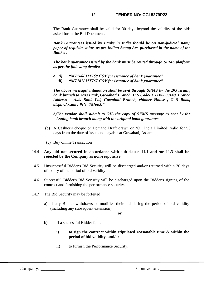The Bank Guarantee shall be valid for 30 days beyond the validity of the bids asked for in the Bid Document.

*Bank Guarantees issued by Banks in India should be on non-judicial stamp paper of requisite value, as per Indian Stamp Act, purchased in the name of the Banker.*

*The bank guarantee issued by the bank must be routed through SFMS platform as per the following details:*

*a. (i) "MT760/ MT760 COV for issuance of bank guarantee" (ii) "MT767/ MT767 COV for issuance of bank guarantee"*

*The above message/ intimation shall be sent through SFMS by the BG issuing bank branch to Axis Bank, Guwahati Branch, IFS Code- UTIB0000140, Branch Address – Axis Bank Ltd, Guwahati Branch, chibber House , G S Road, dispur,Assam , PIN- 781005."*

*b)The vendor shall submit to OIL the copy of SFMS message as sent by the issuing bank branch along with the original bank guarantee*

- (b) A Cashier's cheque or Demand Draft drawn on 'Oil India Limited' valid for **90** days from the date of issue and payable at Guwahati, Assam.
- (c) Buy online Transaction

#### 14.4 **Any bid not secured in accordance with sub-clause 11.1 and /or 11.3 shall be rejected by the Company as non-responsive.**

- 14.5 Unsuccessful Bidder's Bid Security will be discharged and/or returned within 30 days of expiry of the period of bid validity.
- 14.6 Successful Bidder's Bid Security will be discharged upon the Bidder's signing of the contract and furnishing the performance security.
- 14.7 The Bid Security may be forfeited:
	- a) If any Bidder withdraws or modifies their bid during the period of bid validity (including any subsequent extension)

**or**

- b) If a successful Bidder fails:
	- i) **to sign the contract within stipulated reasonable time & within the period of bid validity, and/or**
	- ii) to furnish the Performance Security.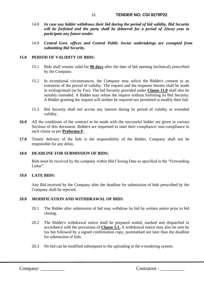- 14.8 *In case any bidder withdraws their bid during the period of bid validity, Bid Security will be forfeited and the party shall be debarred for a period of 2(two) yeas to participate any future tender.*
- 14.9 *Central Govt. offices and Central Public Sector undertakings are exempted from submitting Bid Security.*

## **15.0 PERIOD OF VALIDITY OF BIDS:**

- 15.1 Bids shall remain valid for **90 days** after the date of bid opening (technical) prescribed by the Company.
- 15.2 In exceptional circumstances, the Company may solicit the Bidder's consent to an extension of the period of validity. The request and the response thereto shall be made in writing/email (or by Fax). The bid Security provided under **Clause 11.0** shall also be suitably extended. A Bidder may refuse the request without forfeiting its Bid Security. A Bidder granting the request will neither be required nor permitted to modify their bid.
- 15.3 Bid Security shall not accrue any interest during its period of validity or extended validity.
- **16.0** All the conditions of the contract to be made with the successful bidder are given in various Sections of this document. Bidders are requested to state their compliance/ non-compliance to each clause as per **Proforma-F**.
- **17.0** Timely delivery of the bids is the responsibility of the Bidder. Company shall not be responsible for any delay.

#### **18.0 DEADLINE FOR SUBMISSION OF BIDS:**

Bids must be received by the company within Bid Closing Date as specified in the "Forwarding Letter".

#### **19.0 LATE BIDS:**

Any Bid received by the Company after the deadline for submission of bids prescribed by the Company shall be rejected.

#### **20.0 MODIFICATION AND WITHDRAWAL OF BIDS**:

- 20.1 The Bidder after submission of bid may withdraw its bid by written notice prior to bid closing.
- 20.2 The Bidder's withdrawal notice shall be prepared sealed, marked and dispatched in accordance with the provisions of **Clause 5.1**. A withdrawal notice may also be sent by fax but followed by a signed confirmation copy, postmarked not later than the deadline for submission of bids.
- 20.3 No bid can be modified subsequent to the uploading in the e-tendering system.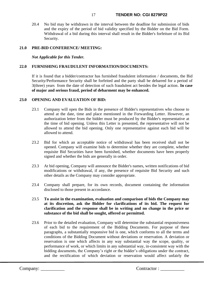20.4 No bid may be withdrawn in the interval between the deadline for submission of bids and the expiry of the period of bid validity specified by the Bidder on the Bid Form. Withdrawal of a bid during this interval shall result in the Bidder's forfeiture of its Bid Security.

## **21.0 PRE-BID CONFERENCE/ MEETING:**

*Not Applicable for this Tender.*

#### **22.0 FURNISHING FRAUDULENT INFORMATION/DOCUMENTS:**

If it is found that a bidder/contractor has furnished fraudulent information / documents, the Bid Security/Performance Security shall be forfeited and the party shall be debarred for a period of 3(three) years from the date of detection of such fraudulent act besides the legal action. **In case of major and serious fraud, period of debarment may be enhanced.**

## **23.0 OPENING AND EVALUATION OF BID:**

- 23.1 Company will open the Bids in the presence of Bidder's representatives who choose to attend at the date, time and place mentioned in the Forwarding Letter. However, an authorization letter from the bidder must be produced by the Bidder's representative at the time of bid opening. Unless this Letter is presented, the representative will not be allowed to attend the bid opening. Only one representative against each bid will be allowed to attend.
- 23.2 Bid for which an acceptable notice of withdrawal has been received shall not be opened. Company will examine bids to determine whether they are complete, whether requisite Bid Securities have been furnished, whether documents have been properly signed and whether the bids are generally in order.
- 23.3 At bid opening, Company will announce the Bidder's names, written notifications of bid modifications or withdrawal, if any, the presence of requisite Bid Security and such other details as the Company may consider appropriate.
- 23.4 Company shall prepare, for its own records, document containing the information disclosed to those present in accordance.
- 23.5 **To assist in the examination, evaluation and comparison of bids the Company may at its discretion, ask the Bidder for clarifications of its bid. The request for clarification and the response shall be in writing and no change in the price or substance of the bid shall be sought, offered or permitted.**
- 23.6 Prior to the detailed evaluation, Company will determine the substantial responsiveness of each bid to the requirement of the Bidding Documents. For purpose of these paragraphs, a substantially responsive bid is one, which conforms to all the terms and conditions of the Bidding Document without deviations or reservation. A deviation or reservation is one which affects in any way substantial way the scope, quality, or performance of work, or which limits in any substantial way, in-consistent way with the bidding documents, the Company's right or the bidder's obligations under the contract, and the rectification of which deviation or reservation would affect unfairly the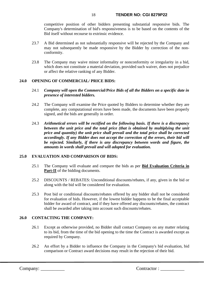#### 18 **TENDER NO: CGI 8279P22**

competitive position of other bidders presenting substantial responsive bids. The Company's determination of bid's responsiveness is to be based on the contents of the Bid itself without recourse to extrinsic evidence.

- 23.7 A Bid determined as not substantially responsive will be rejected by the Company and may not subsequently be made responsive by the Bidder by correction of the nonconformity.
- 23.8 The Company may waive minor informality or nonconformity or irregularity in a bid, which does not constitute a material deviation, provided such waiver, does not prejudice or affect the relative ranking of any Bidder.

## **24.0 OPENING OF COMMERCIAL/ PRICE BIDS:**

- 24.1 *Company will open the Commercial/Price Bids of all the Bidders on a specific date in presence of interested bidders.*
- 24.2 The Company will examine the Price quoted by Bidders to determine whether they are complete, any computational errors have been made, the documents have been properly signed, and the bids are generally in order.
- 24.3 *Arithmetical errors will be rectified on the following basis. If there is a discrepancy between the unit price and the total price (that is obtained by multiplying the unit price and quantity) the unit price shall prevail and the total price shall be corrected accordingly. If any Bidder does not accept the correction of the errors, their bid will be rejected. Similarly, if there is any discrepancy between words and figure, the amounts in words shall prevail and will adopted for evaluation.*

## **25.0 EVALUATION AND COMPARISON OF BIDS:**

- 25.1 The Company will evaluate and compare the bids as per **Bid Evaluation Criteria in Part-II** of the bidding documents.
- 25.2 DISCOUNTS / REBATES: Unconditional discounts/rebates, if any, given in the bid or along with the bid will be considered for evaluation.
- 25.3 Post bid or conditional discounts/rebates offered by any bidder shall not be considered for evaluation of bids. However, if the lowest bidder happens to be the final acceptable bidder for award of contract, and if they have offered any discounts/rebates, the contract shall be awarded after taking into account such discounts/rebates.

## **26.0 CONTACTING THE COMPANY:**

- 26.1 Except as otherwise provided, no Bidder shall contact Company on any matter relating to its bid, from the time of the bid opening to the time the Contract is awarded except as required by Company.
- 26.2 An effort by a Bidder to influence the Company in the Company's bid evaluation, bid comparison or Contract award decisions may result in the rejection of their bid.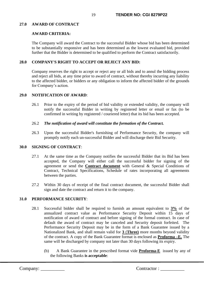## **27.0 AWARD OF CONTRACT**

## **AWARD CRITERIA:**

The Company will award the Contract to the successful Bidder whose bid has been determined to be substantially responsive and has been determined as the lowest evaluated bid, provided further that the Bidder is determined to be qualified to perform the Contract satisfactorily.

## **28.0 COMPANY'S RIGHT TO ACCEPT OR REJECT ANY BID:**

Company reserves the right to accept or reject any or all bids and to annul the bidding process and reject all bids, at any time prior to award of contract, without thereby incurring any liability to the affected bidder, or bidders or any obligation to inform the affected bidder of the grounds for Company's action.

#### **29.0 NOTIFICATION OF AWARD**:

26.1 Prior to the expiry of the period of bid validity or extended validity, the company will notify the successful Bidder in writing by registered letter or email or fax (to be confirmed in writing by registered / couriered letter) that its bid has been accepted.

#### 26.2 *The notification of award will constitute the formation of the Contract.*

26.3 Upon the successful Bidder's furnishing of Performance Security, the company will promptly notify each un-successful Bidder and will discharge their Bid Security.

#### **30.0 SIGNING OF CONTRACT**:

- 27.1 At the same time as the Company notifies the successful Bidder that its Bid has been accepted, the Company will either call the successful bidder for signing of the agreement or send the **Contract document** with General & Special Conditions of Contract, Technical Specifications, Schedule of rates incorporating all agreements between the parties.
- 27.2 Within 30 days of receipt of the final contract document, the successful Bidder shall sign and date the contract and return it to the company.

#### **31.0 PERFORMANCE SECURITY**:

- 28.1 Successful bidder shall be required to furnish an amount equivalent to **3%** of the annualized contract value as Performance Security Deposit within 15 days of notification of award of contract and before signing of the formal contract. In case of default the award of contract may be canceled and Security deposit forfeited. The Performance Security Deposit may be in the form of a Bank Guarantee issued by a Nationalized Bank, and shall remain valid for **3** (**Three)** more months beyond validity of the contract. A copy of the Bank Guarantee format is enclosed as **Proforma –E.** The same will be discharged by company not later than 30 days following its expiry.
	- (b) A Bank Guarantee in the prescribed format vide **Proforma-E** issued by any of the following Banks **is acceptable**: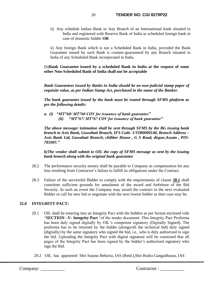ii) Any schedule Indian Bank or Any Branch of an International bank situated in India and registered with Reserve Bank of India as scheduled foreign bank in case of domestic bidder **OR**

ii) Any foreign Bank which is not a Scheduled Bank in India, provided the Bank Guarantee issued by such Bank is counter-guaranteed by any Branch situated in India of any Scheduled Bank incorporated in India.

(b)**Bank Guarantee issued by a scheduled Bank in India at the request of some other Non-Scheduled Bank of India shall not be acceptable**

*Bank Guarantees issued by Banks in India should be on non-judicial stamp paper of requisite value, as per Indian Stamp Act, purchased in the name of the Banker.*

*The bank guarantee issued by the bank must be routed through SFMS platform as per the following details:*

*a. (i) "MT760/ MT760 COV for issuance of bank guarantee" (ii) "MT767/ MT767 COV for issuance of bank guarantee"*

*The above message/ intimation shall be sent through SFMS by the BG issuing bank branch to Axis Bank, Guwahati Branch, IFS Code- UTIB0000140, Branch Address – Axis Bank Ltd, Guwahati Branch, chibber House , G S Road, dispur,Assam , PIN-781005."*

*b)The vendor shall submit to OIL the copy of SFMS message as sent by the issuing bank branch along with the original bank guarantee*

- 28.2 The performance security money shall be payable to Company as compensation for any loss resulting from Contractor's failure to fulfill its obligations under the Contract.
- 28.3 Failure of the successful Bidder to comply with the requirements of clause **28.1** shall constitute sufficient grounds for annulment of the award and forfeiture of the Bid Security. In such an event the Company may award the contract to the next evaluated Bidder or call for new bid or negotiate with the next lowest bidder as then case may be.

## **32.0 INTEGRITY PACT:**

- 29.1 OIL shall be entering into an Integrity Pact with the bidders as per format enclosed vide "**SECTION –V- Integrity Pact** "of the tender document. This Integrity Pact Proforma has been duly signed digitally by OIL's competent signatory (Digitally Signed). The proforma has to be returned by the bidder (alongwith the technical bid) duly signed (digitally) by the same signatory who signed the bid, i.e., who is duly authorized to sign the bid. Uploading the Integrity Pact with digital signature will be construed that all pages of the Integrity Pact has been signed by the bidder's authorized signatory who sign the Bid.
	- 29.2 OIL has appointed Shri Sutanu Behuria, IAS (Retd.),Shri Rudra Gangadharan, IAS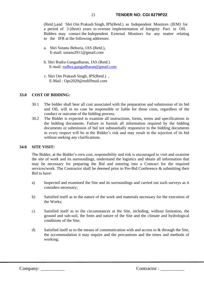(Retd.),and Shri Om Prakash Singh, IPS(Retd.) as Independent Monitors (IEM) for a period of 3 (three) years to oversee implementation of Integrity Pact in OIL Bidders may contact the Independent External Monitors for any matter relating to the IFB at the following addresses:

- a. Shri Sutanu Behuria, IAS (Retd.), E-mail: [sutanu2911@gmaiI.com](mailto:sutanu2911@gmaiI.com)
- b. Shri Rudra Gangadharan, IAS (Retd.) E-mail: [rudhra.gangadharan@gmail.com](mailto:rudhra.gangadharan@gmail.com)
- c. Shri Om Prakash Singh, IPS(Retd.) , E-Mail : Ops2020@rediffmail.com

## **33.0 COST OF BIDDING:**

- 30.1 The bidder shall bear all cost associated with the preparation and submission of its bid and OIL will in no case be responsible or liable for those costs, regardless of the conduct or outcome of the bidding process.
- 30.2 The Bidder is expected to examine all instructions, forms, terms and specifications in the bidding documents. Failure to furnish all information required by the bidding documents or submission of bid not substantially responsive to the bidding documents in every respect will be at the Bidder's risk and may result in the rejection of its bid without seeking any clarifications.

#### **34.0 SITE VISIT:**

The Bidder, at the Bidder's own cost, responsibility and risk is encouraged to visit and examine the site of work and its surroundings, understand the logistics and obtain all information that may be necessary for preparing the Bid and entering into a Contract for the required services/work. The Contractor shall be deemed prior to Pre-Bid Conference & submitting their Bid to have:

- a) Inspected and examined the Site and its surroundings and carried out such surveys as it considers necessary;
- b) Satisfied itself as to the nature of the work and materials necessary for the execution of the Works;
- c) Satisfied itself as to the circumstances at the Site, including, without limitation, the ground and sub-soil, the form and nature of the Site and the climate and hydrological conditions of the Site;
- d) Satisfied itself as to the means of communication with and access to & through the Site, the accommodation it may require and the precautions and the times and methods of working;

Company: \_\_\_\_\_\_\_\_\_\_ Contractor : \_\_\_\_\_\_\_\_\_\_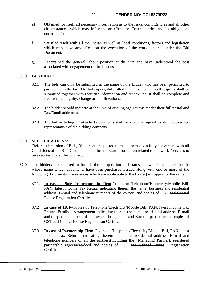- e) Obtained for itself all necessary information as to the risks, contingencies and all other circumstances, which may influence or affect the Contract price and its obligations under the Contract;
- f) Satisfied itself with all the Indian as well as local conditions, factors and legislation which may have any effect on the execution of the work covered under the Bid Document.
- g) Ascertained the general labour position at the Site and have understood the cost associated with engagement of the labours.

## **35.0 GENERAL :**

- 32.1 The bids can only be submitted in the name of the Bidder who has been permitted to participate in the bid. The bid papers, duly filled in and complete in all respects shall be submitted together with requisite information and Annexures. It shall be complete and free from ambiguity, change or interlineations.
- 32.2 The bidder should indicate at the time of quoting against this tender their full postal and Fax/Email addresses.
- 32.3 The bid including all attached documents shall be digitally signed by duly authorized representative of the bidding company.

## **36.0 SPECIFICATIONS:**

**.**Before submission of Bids, Bidders are requested to make themselves fully conversant with all Conditions of the Bid Document and other relevant information related to the works/services to be executed under the contract.

- **37.0** The bidders are required to furnish the composition and status of ownership of the firm in whose name tender documents have been purchased /issued along with one or more of the following documentary evidences(which are applicable to the bidder) in support of the same.
	- 37.1. **In case of Sole Proprietorship Firm**-Copies of Telephone/Electricity/Mobile Bill, PAN, latest Income Tax Return indicating therein the name, business and residential address, E-mail and telephone numbers of the owner and copies of GST and Central Excise Registration Certificate.
	- 37.2 **In case of HUF**-Copies of Telephone/Electricity/Mobile Bill, PAN, latest Income Tax Return, Family Arrangement indicating therein the name, residential address, E-mail and telephone numbers of the owners in general and Karta in particular and copies of GST and Central Excise Registration Certificate.
	- 37.3 **In case of Partnership Firm**-Copies of Telephone/Electricity/Mobile Bill, PAN, latest Income Tax Return indicating therein the name, residential address, E-mail and telephone numbers of all the partners(including the Managing Partner), registered partnership agreement/deed and copies of GST and Central Excise Registration Certificate.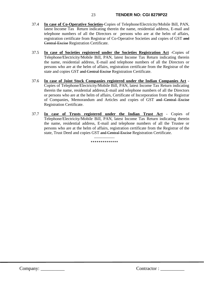- 37.4 **In case of Co-Operative Societies**-Copies of Telephone/Electricity/Mobile Bill, PAN, latest Income Tax Return indicating therein the name, residential address, E-mail and telephone numbers of all the Directors or persons who are at the helm of affairs, registration certificate from Registrar of Co-Operative Societies and copies of GST and Central Excise Registration Certificate.
- 37.5 **In case of Societies registered under the Societies Registration Act** -Copies of Telephone/Electricity/Mobile Bill, PAN, latest Income Tax Return indicating therein the name, residential address, E-mail and telephone numbers of all the Directors or persons who are at the helm of affairs, registration certificate from the Registrar of the state and copies GST and Central Excise Registration Certificate.
- 37.6 **In case of Joint Stock Companies registered under the Indian Companies Act** Copies of Telephone/Electricity/Mobile Bill, PAN, latest Income Tax Return indicating therein the name, residential address,E-mail and telephone numbers of all the Directors or persons who are at the helm of affairs, Certificate of Incorporation from the Registrar of Companies, Memorandum and Articles and copies of GST and Central Excise Registration Certificate.
- 37.7 **In case of Trusts registered under the Indian Trust Act** Copies of Telephone/Electricity/Mobile Bill, PAN, latest Income Tax Return indicating therein the name, residential address, E-mail and telephone numbers of all the Trustee or persons who are at the helm of affairs, registration certificate from the Registrar of the state, Trust Deed and copies GST and Central Excise Registration Certificate.

----------------- \*\*\*\*\*\*\*\*\*\*\*\*\*\*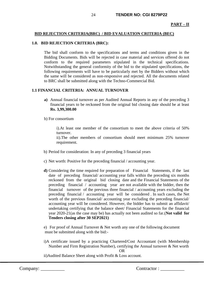## **BID REJECTION CRITERIA(BRC) / BID EVALUATION CRITERIA (BEC)**

## **1.0. BID REJECTION CRITERIA (BRC):**

The bid shall conform to the specifications and terms and conditions given in the Bidding Documents. Bids will be rejected in case material and services offered do not conform to the required parameters stipulated in the technical specifications. Notwithstanding the general conformity of the bid to the stipulated specifications, the following requirements will have to be particularly met by the Bidders without which the same will be considered as non-responsive and rejected. All the documents related to BRC shall be submitted along with the Techno-Commercial Bid.

## **1.1 FINANCIAL CRITERIA: ANNUAL TURNOVER**

- **a)** Annual financial turnover as per Audited Annual Reports in any of the preceding 3 financial years to be reckoned from the original bid closing date should be at least **Rs. 3,99,300.00**
- b) For consortium

i).At least one member of the consortium to meet the above criteria of 50% turnover.

ii).The other members of consortium should meet minimum 25% turnover requirement.

- b) Period for consideration: In any of preceding 3 financial years
- c) Net worth: Positive for the preceding financial / accounting year.
- **d)** Considering the time required for preparation of Financial Statements, if the last date of preceding financial/ accounting year falls within the preceding six months reckoned from the original bid closing date and the Financial Statements of the preceding financial / accounting year are not available with the bidder, then the financial turnover of the previous three financial / accounting years excluding the preceding financial / accounting year will be considered . In such cases, the Net worth of the previous financial/ accounting year excluding the preceding financial/ accounting year will be considered. However, the bidder has to submit an affidavit/ undertaking certifying that the balance sheet/ Financial Statements for the financial year 2020-21(as the case may be) has actually not been audited so far.(**Not valid for Tenders closing after 30 SEP2021)**
- e) For proof of Annual Turnover & Net worth any one of the following document must be submitted along with the bid:-
- i)A certificate issued by a practicing Chartered/Cost Accountant (with Membership Number and Firm Registration Number), certifying the Annual turnover & Net worth

**OR** Service Service Service Service Service Service Service Service Service Service Service Service Service Service Service Service Service Service Service Service Service Service Service Service Service Service Service S

ii)Audited Balance Sheet along with Profit & Loss account.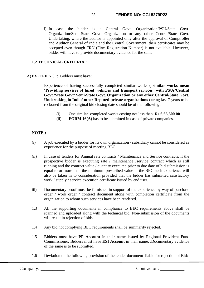f) In case the bidder is a Central Govt. Organization/PSU/State Govt. Organization/Semi-State Govt. Organization or any other Central/State Govt. Undertaking, where the auditor is appointed only after the approval of Comptroller and Auditor General of India and the Central Government, their certificates may be accepted even though FRN (Firm Registration Number) is not available. However, bidder will have to provide documentary evidence for the same.

## **1.2 TECHNICAL CRITERIA :**

## A) EXPERIENCE: Bidders must have:

Experience of having successfully completed similar works ( **similar works mean 'Providing services of hired vehicles and transport services with PSUs/Central Govt./State Govt/ Semi-State Govt. Organization or any other Central/State Govt. Undertaking in India/ other Reputed private organizations** during last 7 years to be reckoned from the original bid closing date should be of the following :

- (i) One similar completed works costing not less than **Rs 6,65,500.00**
- (ii) **FORM 16(A)** has to be submitted in case of private companies.

## **NOTE-:**

- (i) A job executed by a bidder for its own organization / subsidiary cannot be considered as experience for the purpose of meeting BEC.
- (ii) In case of tenders for Annual rate contracts / Maintenance and Service contracts, if the prospective bidder is executing rate / maintenance /service contract which is still running and the contract value / quantity executed prior to due date of bid submission is equal to or more than the minimum prescribed value in the BEC such experience will also be taken in to consideration provided that the bidder has submitted satisfactory work / supply / service execution certificate issued by end user.
- iii) Documentary proof must be furnished in support of the experience by way of purchase order / work order / contract document along with completion certificate from the organization to whom such services have been rendered.
- 1.3 All the supporting documents in compliance to BEC requirements above shall be scanned and uploaded along with the technical bid. Non-submission of the documents will result in rejection of bids.
- 1.4 Any bid not complying BEC requirements shall be summarily rejected.
- 1.5 Bidders must have **PF Account** in their name issued by Regional Provident Fund Commissioner. Bidders must have **ESI Account** in their name. .Documentary evidence of the same is to be submitted.
- 1.6 Deviation to the following provision of the tender document liable for rejection of Bid: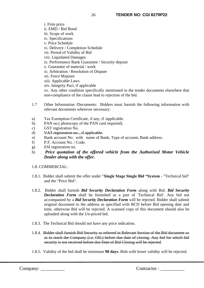i. Firm price ii. EMD / Bid Bond iii. Scope of work iv. Specifications v. Price Schedule vi. Delivery / Completion Schedule vii. Period of Validity of Bid viii. Liquidated Damages ix. Performance Bank Guarantee / Security deposit x. Guarantee of material / work xi. Arbitration / Resolution of Dispute xii. Force Majeure xiii. Applicable Laws xiv. Integrity Pact, if applicable xv. Any other condition specifically mentioned in the tender documents elsewhere that non-compliance of the clause lead to rejection of the bid.

- 1.7 Other Information /Documents: Bidders must furnish the following information with relevant documents wherever necessary:
- a) Tax Exemption Certificate, if any, if /applicable.
- b) PAN no.( photocopy of the PAN card required).
- c) GST registration No.
- d) VAT registration no., if applicable.
- e) Bank account No. with name of Bank, Type of account, Bank address.
- f) P.F. Account No. / Code.
- g) ESI registration no.
- h) *Price quotation of the offered vehicle from the Authorised Motor Vehicle Dealer along with the offer.*

#### 1.8. COMMERCIAL:

- 1.8.1. Bidder shall submit the offer under "**Single Stage Single Bid "System** "Technical bid" and the "Price Bid".
- 1.8.2. Bidder shall furnish *Bid Security Declaration Form* along with Bid. *Bid Security Declaration Form* shall be furnished as a part of 'Technical Bid'. Any bid not accompanied by a *Bid Security Declaration Form* will be rejected. Bidder shall submit original document to the address as specified with BCD before Bid opening date and time, otherwise Bid will be rejected. A scanned copy of this document should also be uploaded along with the Un-priced bid.
- 1.8.3. The Technical Bid should not have any price indication.
- 1.8.4. Bidder shall furnish Bid Security as referred in Relevant Section of the Bid document so as to reach the Company (i.e. OIL) before due date of closing. Any bid for which bid security is not received before due Date of Bid Closing will be rejected.
- 1.8.5. Validity of the bid shall be minimum **90 days**. Bids with lesser validity will be rejected.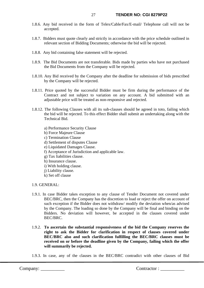- 1.8.6. Any bid received in the form of Telex/Cable/Fax/E-mail/ Telephone call will not be accepted.
- 1.8.7. Bidders must quote clearly and strictly in accordance with the price schedule outlined in relevant section of Bidding Documents; otherwise the bid will be rejected.
- 1.8.8. Any bid containing false statement will be rejected.
- 1.8.9. The Bid Documents are not transferable. Bids made by parties who have not purchased the Bid Documents from the Company will be rejected.
- 1.8.10. Any Bid received by the Company after the deadline for submission of bids prescribed by the Company will be rejected.
- 1.8.11. Price quoted by the successful Bidder must be firm during the performance of the Contract and not subject to variation on any account. A bid submitted with an adjustable price will be treated as non-responsive and rejected.
- 1.8.12. The following Clauses with all its sub-clauses should be agreed in toto, failing which the bid will be rejected. To this effect Bidder shall submit an undertaking along with the Technical Bid.
	- a) Performance Security Clause
	- b) Force Majeure Clause
	- c) Termination Clause
	- d) Settlement of disputes Clause
	- e) Liquidated Damages Clause.
	- f) Acceptance of Jurisdiction and applicable law.
	- g) Tax liabilities clause.
	- h) Insurance clause.
	- i) With holding clause.
	- j) Liability clause.
	- k) Set off clause

1.9. GENERAL:

- 1.9.1. In case Bidder takes exception to any clause of Tender Document not covered under BEC/BRC, then the Company has the discretion to load or reject the offer on account of such exception if the Bidder does not withdraw/ modify the deviation when/as advised by the Company. The loading so done by the Company will be final and binding on the Bidders. No deviation will however, be accepted in the clauses covered under BEC/BRC.
- 1.9.2. **To ascertain the substantial responsiveness of the bid the Company reserves the right to ask the Bidder for clarification in respect of clauses covered under BEC/BRC also and such clarification fulfilling the BEC/BRC clauses must be received on or before the deadline given by the Company, failing which the offer will summarily be rejected.**
- 1.9.3. In case, any of the clauses in the BEC/BRC contradict with other clauses of Bid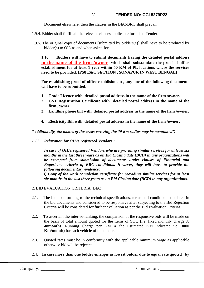Document elsewhere, then the clauses in the BEC/BRC shall prevail.

- 1.9.4. Bidder shall fulfill all the relevant clauses applicable for this e-Tender.
- 1.9.5. The original copy of documents [submitted by bidders(s)] shall have to be produced by bidder(s) to OIL as and when asked for.

**1.10 Bidders will have to submit documents having the detailed postal address in the name of the firm /owner which shall substantiate the proof of office establishment for at least 1 year within 50 KM of PL locations where the services need to be provided. (PS8 E&C SECTION , SONAPUR IN WEST BENGAL)**

**For establishing proof of office establishment , any one of the following documents will have to be submitted:--**

- **1. Trade Licence with detailed postal address in the name of the firm /owner.**
- **2. GST Registration Certificate with detailed postal address in the name of the firm /owner.**
- **3. Landline phone bill with detailed postal address in the name of the firm /owner.**
- **4. Electricity Bill with detailed postal address in the name of the firm /owner.**

*"Additionally, the names of the areas covering the 50 Km radius may be mentioned".*

*1.11 Relaxation for OIL's registered Vendors :*

 *In case of OIL's registered Vendors who are providing similar services for at least six months in the last three years as on Bid Closing date (BCD) in any organizations will be exempted from submission of documents under clauses of Financial and Experience criteria of BRC conditions. However, they will have to provide the following documentary evidence:*

*i) Copy of the work completion certificate for providing similar services for at least six months in the last three years as on Bid Closing date (BCD) in any organizations.*

- 2. BID EVALUATION CRITERIA (BEC):
- 2.1. The bids conforming to the technical specifications, terms and conditions stipulated in the bid documents and considered to be responsive after subjecting to the Bid Rejection Criteria will be considered for further evaluation as per the Bid Evaluation Criteria.
- 2.2. To ascertain the inter-se-ranking, the comparison of the responsive bids will be made on the basis of total amount quoted for the items of SOQ (i.e. fixed monthly charge X **48months**, Running Charge per KM X the Estimated KM indicated i.e. **3000 Km/month**) for each vehicle of the tender.
- 2.3. Quoted rates must be in conformity with the applicable minimum wage as applicable otherwise bid will be rejected.
- 2.4. **In case more than one bidder emerges as lowest bidder due to equal rate quoted by**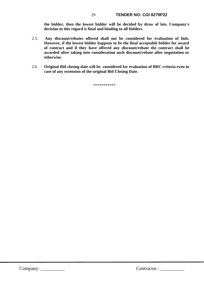**the bidder, then the lowest bidder will be decided by draw of lots. Company's decision in this regard is final and binding to all bidders.**

- 2.5. **Any discount/rebates offered shall not be considered for evaluation of bids. However, if the lowest bidder happens to be the final acceptable bidder for award of contract and if they have offered any discount/rebate the contract shall be awarded after taking into consideration such discount/rebate after negotiation or otherwise.**
- 2.6 **Original Bid closing date will be considered for evaluation of BRC criteria even in case of any extension of the original Bid Closing Date.**

\*\*\*\*\*\*\*\*\*\*\*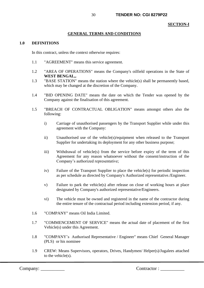#### **SECTION-I**

#### **GENERAL TERMS AND CONDITIONS**

#### **1.0 DEFINITIONS**

In this contract, unless the context otherwise requires:

- 1.1 "AGREEMENT" means this service agreement.
- 1.2 "AREA OF OPERATIONS" means the Company's oilfield operations in the State of **WEST BENGAL,.**
- 1.3 "BASE STATION" means the station where the vehicle(s) shall be permanently based, which may be changed at the discretion of the Company.
- 1.4 "BID OPENING DATE" means the date on which the Tender was opened by the Company against the finalisation of this agreement.
- 1.5 "BREACH OF CONTRACTUAL OBLIGATION" means amongst others also the following:
	- i) Carriage of unauthorised passengers by the Transport Supplier while under this agreement with the Company:
	- ii) Unauthorised use of the vehicle(s)/equipment when released to the Transport Supplier for undertaking its deployment for any other business purpose;
	- iii) Withdrawal of vehicle(s) from the service before expiry of the term of this Agreement for any reason whatsoever without the consent/instruction of the Company's authorized representative;
	- iv) Failure of the Transport Supplier to place the vehicle(s) for periodic inspection as per schedule as directed by Company's Authorized representative./Engineer.
	- v) Failure to park the vehicle(s) after release on close of working hours at place designated by Company's authorized representative/Engineers.
	- vi) The vehicle must be owned and registered in the name of the contractor during the entire tenure of the contractual period including extension period, if any.
- 1.6 "COMPANY" means Oil India Limited.
- 1.7 "COMMENCEMENT OF SERVICE" means the actual date of placement of the first Vehicle(s) under this Agreement.
- 1.8 "COMPANY's Authorised Representative / Engineer" means Chief General Manager (PLS) or his nominee
- 1.9 CREW: Means Supervisors, operators, Drives, Handymen/ Helper(s)/Jugalees attached to the vehicle(s).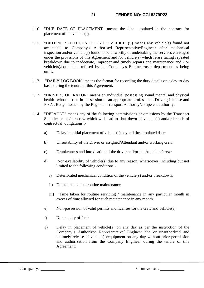- 1.10 "DUE DATE OF PLACEMENT" means the date stipulated in the contract for placement of the vehicle(s).
- 1.11 "DETERIORATED CONDITION OF VEHICLE(S) means any vehicle(s) found not acceptable to Company's Authorised Representative/Engineer after mechanical inspection and/or vehicle(s) found to be unworthy of undertaking the services envisaged under the provisions of this Agreement and /or vehicle(s) which is/are facing repeated breakdown due to inadequate, improper and timely repairs and maintenance and / or vehicle(s)/equipment refused by the Company's Engineer/user department as being unfit.
- 1.12 "DAILY LOG BOOK" means the format for recording the duty details on a day-to-day basis during the tenure of this Agreement.
- 1.13 "DRIVER / OPERATOR" means an individual possessing sound mental and physical health who must be in possession of an appropriate professional Driving License and P.S.V. Badge issued by the Regional Transport Authority/competent authority.
- 1.14 "DEFAULT" means any of the following commissions or omissions by the Transport Supplier or his/her crew which will lead to shut down of vehicle(s) and/or breach of contractual obligations :
	- a) Delay in initial placement of vehicle(s) beyond the stipulated date;
	- b) Unsuitability of the Driver or assigned/Attendant and/or working crew;
	- c) Drunkenness and intoxication of the driver and/or the Attendant/crew;
	- d) Non-availability of vehicle(s) due to any reason, whatsoever, including but not limited to the following conditions:
		- i) Deteriorated mechanical condition of the vehicle(s) and/or breakdown;
		- ii) Due to inadequate routine maintenance
		- iii) Time taken for routine servicing / maintenance in any particular month in excess of time allowed for such maintenance in any month
	- e) Non-possession of valid permits and licenses for the crew and vehicle(s)
	- f) Non-supply of fuel;
	- g) Delay in placement of vehicle(s) on any day as per the instruction of the Company's Authorized Representative/ Engineer and or unauthorized and untimely release of vehicle(s)/equipment on any day without prior permission and authorization from the Company Engineer during the tenure of this Agreement;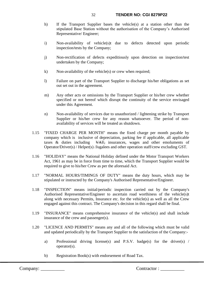- h) If the Transport Supplier bases the vehicle(s) at a station other than the stipulated Base Station without the authorisation of the Company's Authorised Representative/ Engineer;
- i) Non-availability of vehicle(s)t due to defects detected upon periodic inspection/tests by the Company;
- j) Non-rectification of defects expeditiously upon detection on inspection/test undertaken by the Company;
- $k$ ) Non-availability of the vehicle(s) or crew when required;
- l) Failure on part of the Transport Supplier to discharge his/her obligations as set out set out in the agreement.
- m) Any other acts or omissions by the Transport Supplier or his/her crew whether specified or not hereof which disrupt the continuity of the service envisaged under this Agreement.
- n) Non-availability of services due to unauthorized / lightening strike by Transport Supplier or his/her crew for any reason whatsoever. The period of nonavailability of services will be treated as shutdown.
- 1.15 "FIXED CHARGE PER MONTH" means the fixed charge per month payable by company which is inclusive of depreciation, parking fee if applicable, all applicable taxes  $\&$  duties including  $\&$  XAT, insurances, wages and other emoluments of Operator/Driver(s) / Helper(s) /Jugalees and other operation staff/crew excluding GST.
- 1.16 "HOLIDAY" means the National Holiday defined under the Motor Transport Workers Act, 1961 as may be in force from time to time, which the Transport Supplier would be required to give to his/her Crew as per the aforesaid Act.
- 1.17 "NORMAL HOURS/TIMINGS OF DUTY" means the duty hours, which may be stipulated or instructed by the Company's Authorised Representative/Engineer.
- 1.18 "INSPECTION" means initial/periodic inspection carried out by the Company's Authorised Representative/Engineer to ascertain road worthiness of the vehicle(s)t along with necessary Permits, Insurance etc. for the vehicle(s) as well as all the Crew engaged against this contract. The Company's decision in this regard shall be final.
- 1.19 "INSURANCE" means comprehensive insurance of the vehicle(s) and shall include insurance of the crew and passenger(s).
- 1.20 "LICENCE AND PERMITS" means any and all of the following which must be valid and updated periodically by the Transport Supplier to the satisfaction of the Company:
	- a) Professional driving license(s) and P.S.V. badge(s) for the driver(s) / operator(s).
	- b) Registration Book(s) with endorsement of Road Tax.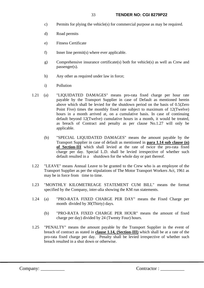- c) Permits for plying the vehicle(s) for commercial purpose as may be required.
- d) Road permits
- e) Fitness Certificate
- f) Inner line permit(s) where ever applicable.
- g) Comprehensive insurance certificate(s) both for vehicle(s) as well as Crew and passenger(s).
- h) Any other as required under law in force;
- i) Pollution
- 1.21 (a) "LIQUIDATED DAMAGES" means pro-rata fixed charge per hour rate payable by the Transport Supplier in case of Default as mentioned herein above which shall be levied for the shutdown period on the basis of 0.5(Zero Point Five) times the monthly fixed rate subject to maximum of 12(Twelve) hours in a month arrived at, on a cumulative basis. In case of continuing default beyond 12(Twelve) cumulative hours in a month, it would be treated, as breach of Contract and penalty as per clause No.1.27 will only be applicable.
	- (b) "SPECIAL LIQUIDATED DAMAGES" means the amount payable by the Transport Supplier in case of default as mentioned in **para 1.14 sub clause (n) of Section-III** which shall levied at the rate of twice the pro-rata fixed charge per day. Special L.D. shall be levied irrespective of whether such default resulted in a shutdown for the whole day or part thereof.
- 1.22 "LEAVE" means Annual Leave to be granted to the Crew who is an employee of the Transport Supplier as per the stipulations of The Motor Transport Workers Act, 1961 as may be in force from time to time.
- 1.23 "MONTHLY KILOMETREAGE STATEMENT CUM BILL" means the format specified by the Company, inter-alia showing the KM run statements.
- 1.24 (a) "PRO-RATA FIXED CHARGE PER DAY" means the Fixed Charge per month divided by 30(Thirty) days.
	- (b) "PRO-RATA FIXED CHARGE PER HOUR" means the amount of fixed charge per day) divided by 24 (Twenty Four) hours.
- 1.25 "PENALTY" means the amount payable by the Transport Supplier in the event of breach of contract as stated in **clause 1.14, (Section-III)** which shall be at a rate of the pro-rata fixed charge per day. Penalty shall be levied irrespective of whether such breach resulted in a shut down or otherwise.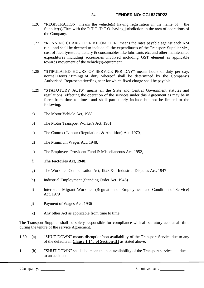- 1.26 "REGISTRATION" means the vehicle(s) having registration in the name of the Supplier(s)/Firm with the R.T.O./D.T.O. having jurisdiction in the area of operations of the Company.
- 1.27 "RUNNING CHARGE PER KILOMETER" means the rates payable against each KM run. and shall be deemed to include all the expenditures of the Transport Supplier viz., cost of fuel, tyre/tube, battery & consumables like lubricants etc. and other maintenance expenditures including accessories involved including GST element as applicable towards movement of the vehicle(s)/equipment.
- 1.28 "STIPULATED HOURS OF SERVICE PER DAY" means hours of duty per day, normal Hours / timings of duty whereof shall be determined by the Company's Authorised Representative/Engineer for which fixed charge shall be payable.
- 1.29 "STATUTORY ACTS" means all the State and Central Government statutes and regulations effecting the operation of the services under this Agreement as may be in force from time to time and shall particularly include but not be limited to the following;
- a) The Motor Vehicle Act, 1988,
- b) The Motor Transport Worker's Act, 1961,
- c) The Contract Labour (Regulations & Abolition) Act, 1970,
- d) The Minimum Wages Act, 1948,
- e) The Employees Provident Fund & Miscellaneous Act, 1952,
- f) **The Factories Act, 1948**,
- g) The Workmen Compensation Act, 1923 & Industrial Disputes Act, 1947
- h) Industrial Employment (Standing Order Act, 1946)
- i) Inter-state Migrant Workmen (Regulation of Employment and Condition of Service) Act, 1979
- j) Payment of Wages Act, 1936
- k) Any other Act as applicable from time to time.

The Transport Supplier shall be solely responsible for compliance with all statutory acts at all time during the tenure of the service Agreement.

- 1.30 (a) "SHUT DOWN" means disruption/non-availability of the Transport Service due to any of the defaults in **Clause 1.14, of Section-III** as stated above.
- 1 (b) "SHUT DOWN" shall also mean the non-availability of the Transport service due to an accident.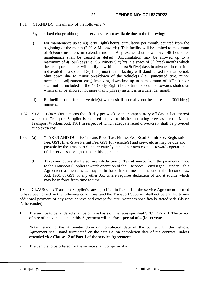## 1.31 "STAND BY" means any of the following "-

Payable fixed charge although the services are not available due to the following:-

- i) For maintenance up to 48(Forty Eight) hours, cumulative per month, counted from the beginning of the month (7.00 A.M. onwards). This facility will be limited to maximum of 4(Four) instances in calendar month. Any excess shut down over 48 hours for maintenance shall be treated as default. Accumulation may be allowed up to a maximum of 4(Four) days i.e., 96 (Ninety Six) hrs in a space of 3(Three) months which the Transport supplier will notify in writing at least 5(Five) days in advance. In case it is not availed in a space of 3(Three) months the facility will stand lapsed for that period. Shut down due to minor breakdown of the vehicle(s (i.e., punctured tyre, minor mechanical adjustment etc.,) involving downtime up to a maximum of 1(One) hour shall not be included in the 48 (Forty Eight) hours time or counted towards shutdown which shall be allowed not more than 3(Three) instances in a calendar month.
- ii) Re-fuelling time for the vehicle(s) which shall normally not be more than 30(Thirty) minutes.
- 1.32 "STATUTORY OFF" means the off day per week or the compensatory off day in lieu thereof which the Transport Supplier is required to give to his/her operating crew as per the Motor Transport Workers Act, 1961 in respect of which adequate relief driver/crew shall be provided at no extra cost.
- 1.33 (a) "TAXES AND DUTIES" means Road Tax, Fitness Fee, Road Permit Fee, Registration Fee, GST, Inter-State Permit Fee, GST for vehicle(s) and crew, etc as may be due and payable by the Transport Supplier entirely at his / her own cost towards operation of the services envisaged under this agreement.
	- (b) Taxes and duties shall also mean deduction of Tax at source from the payments made to the Transport Supplier towards operation of the services envisaged under this Agreement at the rates as may be in force from time to time under the Income Tax Act, 1961 & GST or any other Act where requires deduction of tax at source which may be in force from time to time.

1.34 CLAUSE - I: Transport Supplier's rates specified in Part - II of the service Agreement deemed to have been based on the following conditions (and the Transport Supplier shall not be entitled to any additional payment of any account save and except for circumstances specifically stated vide Clause IV hereunder).

1. The service to be rendered shall be on hire basis on the rates specified SECTION **- II**. The period of hire of the vehicle under this Agreement will be **for a period of 4 (four) years**.

Notwithstanding the Kilometer done on completion date of the contract by the vehicle. Agreement shall stand terminated on the date i.e. on completion date of the contract unless extended vide **Clause 12 of Part-I of the service Agreement**.

2. The vehicle to be offered for the service shall comprise of:-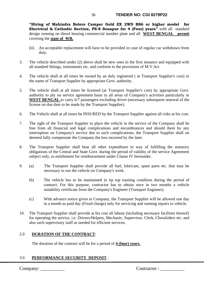#### 36 **TENDER NO: CGI 8279P22**

**"Hiring of Mahindra Bolero Camper Gold ZX 2WD BS6 or higher model for Electrical & Cathodic Section, PS-8 Sonapur for 4 (Four) years"** with all standard design running on diesel bearing commercial number plate and all **WEST BENGAL permit** covering the **state of WB.**

- (ii) An acceptable replacement will have to be provided in case of regular car withdrawn from duty.
- 3. The vehicle described under (2) above shall be new ones in the first instance and equipped with all standard fittings, instruments etc. and conform to the provisions of M.V.Act
- 4. The vehicle shall at all times be owned by an duly registered ( at Transport Supplier's cost) in the name of Transport Supplier by appropriate Govt. authority.
- 5. The vehicle shall at all times be licensed (at Transport Supplier's cost) by appropriate Govt. authority to ply on service agreement basis in all areas of Company's activities particularly in WEST BENGAL to carry 6/7 passengers excluding driver (necessary subsequent renewal of the license on due date to be made by the Transport Supplier).
- 6. The Vehicle shall at all times be INSURED by the Transport Supplier against all risks at his cost.
- 7. The right of the Transport Supplier to place the vehicle in the service of the Company shall be free from all financial and legal complications and encumbrances and should there by any interruption on Company's service due to such complications, the Transport Supplier shall on deemed fully compensate the Company the loss incurred by the later.
- 8. The Transport Supplier shall bear all other expenditure in way of fulfilling the statutory obligations of the Central and State Govt. during the period of validity of the service Agreement subject only, to entitlement for reimbursement under Clause IV hereunder.
- 9. (a) The Transport Supplier shall provide all fuel, lubricant, spare parts etc. that may be necessary to run the vehicle on Company's work.
	- (b) The vehicle has to be maintained in tip top running condition during the period of contract. For this purpose, contractor has to obtain once in two months a vehicle suitability certificate from the Company's Engineer (Transport Engineer).
	- (c) With advance notice given to Company, the Transport Supplier will be allowed one day in a month as paid day (Fixed charge) only for servicing and running repairs to vehicle.
- 10. The Transport Supplier shall provide at his cost all labour (including necessary facilities thereof) for operating the service, i.e. Drivers/Helpers, Mechanic, Supervisor, Clerk, Chowkiders etc. and also such supervisory staff as needed for efficient services.

## 2.0 **DURATION OF THE CONTRACT**:

The duration of the contract will be for a period of **4 (four) years.**

## 3.0 **PERFORMANCE SECURITY DEPOSIT** :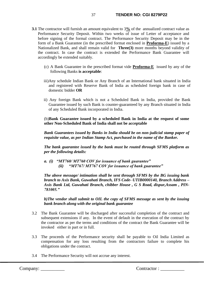- **3.1** The contractor will furnish an amount equivalent to 3**%** of the annualized contract value as Performance Security Deposit. Within two weeks of issue of Letter of acceptance and before signing of the formal contract. The Performance Security Deposit may be in the form of a Bank Guarantee (in the prescribed format enclosed in **Proforma-E**) issued by a Nationalized Bank, and shall remain valid for **Three(3)** more months beyond validity of the contract. In case the contract is extended the Performance Bank Guarantee will accordingly be extended suitably.
	- (c) A Bank Guarantee in the prescribed format vide **Proforma-E** issued by any of the following Banks **is acceptable**:
	- iii)Any schedule Indian Bank or Any Branch of an International bank situated in India and registered with Reserve Bank of India as scheduled foreign bank in case of domestic bidder **OR**
	- ii) Any foreign Bank which is not a Scheduled Bank in India, provided the Bank Guarantee issued by such Bank is counter-guaranteed by any Branch situated in India of any Scheduled Bank incorporated in India.

(b)**Bank Guarantee issued by a scheduled Bank in India at the request of some other Non-Scheduled Bank of India shall not be acceptable**

*Bank Guarantees issued by Banks in India should be on non-judicial stamp paper of requisite value, as per Indian Stamp Act, purchased in the name of the Banker.*

*The bank guarantee issued by the bank must be routed through SFMS platform as per the following details:*

*a. (i) "MT760/ MT760 COV for issuance of bank guarantee" (ii) "MT767/ MT767 COV for issuance of bank guarantee"*

*The above message/ intimation shall be sent through SFMS by the BG issuing bank branch to Axis Bank, Guwahati Branch, IFS Code- UTIB0000140, Branch Address – Axis Bank Ltd, Guwahati Branch, chibber House , G S Road, dispur,Assam , PIN-781005."*

*b)The vendor shall submit to OIL the copy of SFMS message as sent by the issuing bank branch along with the original bank guarantee*

- 3.2 The Bank Guarantee will be discharged after successful completion of the contract and subsequent extensions if any. In the event of default in the execution of the contract by the contractor as per the terms and conditions of the contract the Bank Guarantee will be invoked either in part or in full.
- 3.3 The proceeds of the Performance security shall be payable to Oil India Limited as compensation for any loss resulting from the contractors failure to complete his obligations under the contract.
- 3.4 The Performance Security will not accrue any interest.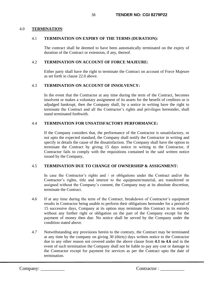## 4.0 **TERMINATION**:

## 4.1 **TERMINATION ON EXPIRY OF THE TERMS (DURATION):**

The contract shall be deemed to have been automatically terminated on the expiry of duration of the Contract or extension, if any, thereof.

## 4.2 **TERMINATION ON ACCOUNT OF FORCE MAJEURE:**

Either party shall have the right to terminate the Contract on account of Force Majeure as set forth in clause 22.0 above.

## 4.3 **TERMINATION ON ACCOUNT OF INSOLVENCY:**

In the event that the Contractor at any time during the term of the Contract, becomes insolvent or makes a voluntary assignment of its assets for the benefit of creditors or is adjudged bankrupt, then the Company shall, by a notice in writing have the right to terminate the Contract and all the Contractor's rights and privileges hereunder, shall stand terminated forthwith.

## 4.4 **TERMINATION FOR UNSATISFACTORY PERFORMANCE:**

If the Company considers that, the performance of the Contractor is unsatisfactory, or not upto the expected standard, the Company shall notify the Contractor in writing and specify in details the cause of the dissatisfaction. The Company shall have the option to terminate the Contract by giving 15 days notice in writing to the Contractor, if Contractor fails to comply with the requisitions contained in the said written notice issued by the Company,

# 4.5 **TERMINATION DUE TO CHANGE OF OWNERSHIP & ASSIGNMENT:**

In case the Contractor's rights and / or obligations under the Contract and/or the Contractor's rights, title and interest to the equipment/material, are transferred or assigned without the Company's consent, the Company may at its absolute discretion, terminate the Contract.

- 4.6 If at any time during the term of the Contract, breakdown of Contractor's equipment results in Contractor being unable to perform their obligations hereunder for a period of 15 successive days, Company at its option may terminate this Contract in its entirely without any further right or obligation on the part of the Company except for the payment of money then due. No notice shall be served by the Company under the condition stated above.
- 4.7 Notwithstanding any provisions herein to the contrary, the Contract may be terminated at any time by the company on giving 30 (thirty) days written notice to the Contractor due to any other reason not covered under the above clause from **4.1 to 4.6** and in the event of such termination the Company shall not be liable to pay any cost or damage to the Contractor except for payment for services as per the Contract upto the date of termination.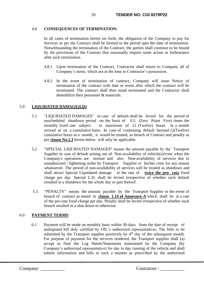# 4.8 **CONSEQUENCES OF TERMINATION:**

In all cases of termination herein set forth, the obligation of the Company to pay for Services as per the Contract shall be limited to the period upto the date of termination. Notwithstanding the termination of the Contract, the parties shall continue to be bound by the provisions of the Contract that reasonably require some action or forbearance after such termination.

- 4.8.1 Upon termination of the Contract, Contractor shall return to Company all of Company's items, which are at the time in Contractor's possession.
- 4.8.2 In the event of termination of contract, Company will issue Notice of termination of the contract with date or event after which the contract will be terminated. The contract shall then stand terminated and the Contractor shall demobilize their personnel & materials.

# 5.0 **LIQUIDATED DAMAGE(LD)**:

.

- 5.1 "LIQUIDATED DAMAGES" in case of default shall be levied for the period of unscheduled shutdown period on the basis of 0.5 (Zero Point Five) times the monthly fixed rate subject to maximum of 12 (Twelve) hours in a month arrived at on a cumulative basis. In case of continuing default beyond 12(Twelve) cumulative hours in a month, it would be treated, as breach of Contract and penalty as per **clause No.5.3** herein below will only be applicable.
- 5.2 "SPECIAL LIQUIDATED DAMAGES" means the amount payable by the Transport Supplier in case of default arising out of Non-availability of vehicle(s)/crew when the Company's operations are normal and also Non-availability of services due to unauthorized / lightening strike by Transport Supplier or his/her crew for any reason whatsoever. The period of non-availability of services will be treated as shutdown and shall attract Special Liquidated damage at the rate of **twice the pro- rata** fixed charge per day. Special L.D. shall be levied irrespective of whether such default resulted in a shutdown for the whole day or part thereof.
- 5.3 "PENALTY" means the amount payable by the Transport Supplier in the event of breach of contract as stated in **clause 1.14 of Annexure-A** which shall be at a rate of the pro-rata fixed charge per day. Penalty shall be levied irrespective of whether such breach resulted in a shut down or otherwise.

# 6.0 **PAYMENT TERMS**:

6.1 Payment will be made on monthly basis within 30-days from the date of receipt of undisputed bill duly certified by OIL's authorized representatives. The bills to be submitted by the Transport supplier positively by  $4<sup>th</sup>$  day of the subsequent month. For purpose of payment for the services rendered, the Transport supplier shall (a) accept as final the Log Sheets/Statements maintained by the Company (by Company's authorized representative) for day to day running of the vehicle and shall submit information and bills in such a manner as prescribed by the authorized

```
Company: __________ Contractor : __________
```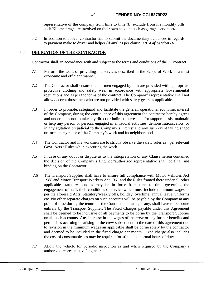representative of the company from time to time (b) exclude from his monthly bills such Kilometerage are involved on their own account such as garage, service etc.

6.2 In addition to above, contractor has to submit the documentary evidences in regards to payment make to driver and helper (if any) as per clause *3 & 4 of Section -II.*

# 7.0 **OBLIGATION OF THE CONTRACTOR**

Contractor shall, in accordance with and subject to the terms and conditions of the contract

- 7.1 Perform the work of providing the services described in the Scope of Work in a most economic and efficient manner.
- 7.2 The Contractor shall ensure that all men engaged by him are provided with appropriate protective clothing and safety wear in accordance with appropriate Governmental regulations and as per the terms of the contract. The Company's representative shall not allow / accept those men who are not provided with safety gears as applicable.
- 7.3 In order to promote, safeguard and facilitate the general, operational economic interest of the Company, during the continuance of this agreement the contractor hereby agrees and under takes not to take any direct or indirect interest and/or support, assist maintain or help any person or persons engaged in antisocial activities, demonstrations, riots, or in any agitation prejudicial to the Company's interest and any such event taking shape or form at any place of the Company's work and its neighborhood.
- 7.4 The Contractor and his workmen are to strictly observe the safety rules as per relevant Govt. Acts / Rules while executing the work.
- 7.5 In case of any doubt or dispute as to the interpretation of any Clause herein contained the decision of the Company's Engineer/authorized representative shall be final and binding on the Contractor.
- 7.6 The Transport Supplier shall have to ensure full compliance with Motor Vehicles Act 1988 and Motor Transport Workers Act 1961 and the Rules framed there under all other applicable statutory acts as may be in force from time to time governing the engagement of staff, their conditions of service which must include minimum wages as per the aforesaid Acts, Statutory/weekly offs, holiday, overtime, annual leave, uniforms etc. No other separate charges on such accounts will be payable by the Company at any point of time during the tenure of the Contract and same, if any, shall have to be borne entirely by the Transport Supplier. The Fixed Charges payable under this Agreement shall be deemed to be inclusive of all payments to be borne by the Transport Supplier on all such accounts. Any increase in the wages of the crew or any further benefits and perquisites accruing or arising to the crew subsequent to the date of this agreement due to revision in the minimum wages an applicable shall be borne solely by the contractor and deemed to be included in the fixed charge per month. Fixed charge also includes the cost of consumables as may be required for stipulated normal hours of duty.
- 7.7 Allow the vehicle for periodic inspection as and when required by the Company's authorized representative/engineer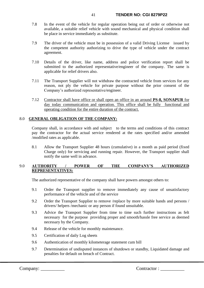- 7.8 In the event of the vehicle for regular operation being out of order or otherwise not available, a suitable relief vehicle with sound mechanical and physical condition shall be place in service immediately as substitute.
- 7.9 The driver of the vehicle must be in possession of a valid Driving License issued by the competent authority authorizing to drive the type of vehicle under the contract agreement.
- 7.10 Details of the driver, like name, address and police verification report shall be submitted to the authorized representative/engineer of the company. The same is applicable for relief drivers also.
- 7.11 The Transport Supplier will not withdraw the contracted vehicle from services for any reason, not ply the vehicle for private purpose without the prior consent of the Company's authorized representative/engineer.
- 7.12 Contractor shall have office or shall open an office in an around **PS-8, SONAPUR** for day today communication and operation. This office shall be fully functional and operating condition for the entire duration of the contract.

# 8.0 **GENERAL OBLIGATION OF THE COMPANY:**

Company shall, in accordance with and subject to the terms and conditions of this contract pay the contractor for the actual service rendered at the rates specified and/or amended /modified rates as applicable.

8.1 Allow the Transport Supplier 48 hours (cumulative) in a month as paid period (fixed Charge only) for servicing and running repair. However, the Transport supplier shall notify the same well in advance.

# 9.0 **AUTHORITY / POWER OF THE COMPANY'S AUTHORIZED REPRESENTATIVES:**

The authorized representative of the company shall have powers amongst others to:

- 9.1 Order the Transport supplier to remove immediately any cause of unsatisfactory performance of the vehicle and of the service
- 9.2 Order the Transport Supplier to remove /replace by more suitable hands and persons / drivers/ helpers /mechanic or any person if found unsuitable.
- 9.3 Advice the Transport Supplier from time to time such further instructions as felt necessary for the purpose providing proper and smooth/hassle free service as deemed necessary by the Company.
- 9.4 Release of the vehicle for monthly maintenance.
- 9.5 Certification of daily Log sheets
- 9.6 Authentication of monthly kilometerage statement cum bill
- 9.7 Determination of undisputed instances of shutdown or standby, Liquidated damage and penalties for default on breach of Contract.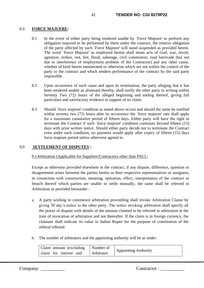## 8.0 **FORCE MAJUERE:**

- 8.1 In the event of either party being rendered unable by `Force Majeure' to perform any obligation required to be performed by them under the contract, the relative obligation of the party affected by such `Force Majeure' will stand suspended as provided herein. The word `Force Majeure' as employed herein shall mean acts of God, war, revolt, agitation, strikes, riot, fire, flood, sabotage, civil commotion, road barricade (but not due to interference of employment problem of the Contractor) and any other cause, whether of kind herein enumerated or otherwise which are not within the control of the party to the contract and which renders performance of the contract by the said party impossible.
- 8.2 Upon occurrence of such cause and upon its termination, the party alleging that it has been rendered unable as aforesaid thereby, shall notify the other party in writing within Seventy Two (72) hours of the alleged beginning and ending thereof, giving full particulars and satisfactory evidence in support of its claim.
- 8.3 Should `force majeure' condition as stated above occurs and should the same be notified within seventy two (72) hours after its occurrence the 'force majeure' rate shall apply for a maximum cumulative period of fifteen days. Either party will have the right to terminate the Contract if such `force majeure' condition continues beyond fifteen (15) days with prior written notice. Should either party decide not to terminate the Contract even under such condition, no payment would apply after expiry of fifteen (15) days force majeure period unless otherwise agreed to.

### 9.0 **SETTLEMENT OF DISPUTES :**

### 9.1Arbitration (Applicable for Suppliers/Contractors other than PSU) :

Except as otherwise provided elsewhere in the contract, if any dispute, difference, question or disagreement arises between the parties hereto or their respective representatives or assignees, in connection with construction, meaning, operation, effect, interpretation of the contract or breach thereof which parties are unable to settle mutually, the same shall be referred to Arbitration as provided hereunder :

- a. A party wishing to commence arbitration proceeding shall invoke Arbitration Clause by giving 30 day's notice to the other party. The notice invoking arbitration shall specify all the points of dispute with details of the amount claimed to be referred to arbitration at the time of invocation of arbitration and not thereafter. If the claim is in foreign currency, the claimant shall indicate its value in Indian Rupee for the purpose of constitution of the arbitral tribunal.
- b. The number of arbitrators and the appointing authority will be as under:

| Claim amount (excluding   Number of |            | <b>Appointing Authority</b> |
|-------------------------------------|------------|-----------------------------|
| claim for interest and              | Arbitrator |                             |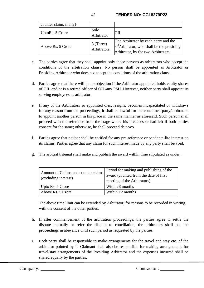| counter claim, if any) |                          |                                                                                                                                       |
|------------------------|--------------------------|---------------------------------------------------------------------------------------------------------------------------------------|
| UptoRs. 5 Crore        | Sole<br>Arbitrator       | OIL.                                                                                                                                  |
| Above Rs. 5 Crore      | 3 (Three)<br>Arbitrators | One Arbitrator by each party and the<br>3 <sup>rd</sup> Arbitrator, who shall be the presiding<br>Arbitrator, by the two Arbitrators. |

- c. The parties agree that they shall appoint only those persons as arbitrators who accept the conditions of the arbitration clause. No person shall be appointed as Arbitrator or Presiding Arbitrator who does not accept the conditions of the arbitration clause.
- d. Parties agree that there will be no objection if the Arbitrator appointed holds equity shares of OIL and/or is a retired officer of OIL/any PSU. However, neither party shall appoint its serving employees as arbitrator.
- e. If any of the Arbitrators so appointed dies, resigns, becomes incapacitated or withdraws for any reason from the proceedings, it shall be lawful for the concerned party/arbitrators to appoint another person in his place in the same manner as aforesaid. Such person shall proceed with the reference from the stage where his predecessor had left if both parties consent for the same; otherwise, he shall proceed de novo.
- f. Parties agree that neither shall be entitled for any pre-reference or pendente-lite interest on its claims. Parties agree that any claim for such interest made by any party shall be void.
- g. The arbitral tribunal shall make and publish the award within time stipulated as under :

| Amount of Claims and counter claims<br>(excluding interest) | Period for making and publishing of the<br>award (counted from the date of first)<br>meeting of the Arbitrators) |
|-------------------------------------------------------------|------------------------------------------------------------------------------------------------------------------|
| Upto Rs. 5 Crore                                            | Within 8 months                                                                                                  |
| Above Rs. 5 Crore                                           | Within 12 months                                                                                                 |

The above time limit can be extended by Arbitrator, for reasons to be recorded in writing, with the consent of the other parties.

- h. If after commencement of the arbitration proceedings, the parties agree to settle the dispute mutually or refer the dispute to conciliation, the arbitrators shall put the proceedings in abeyance until such period as requested by the parties.
- i. Each party shall be responsible to make arrangements for the travel and stay etc. of the arbitrator pointed by it. Claimant shall also be responsible for making arrangements for travel/stay arrangements of the Presiding Arbitrator and the expenses incurred shall be shared equally by the parties.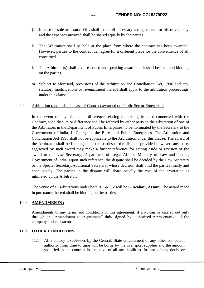- j. In case of sole arbitrator, OIL shall make all necessary arrangements for his travel, stay and the expenses incurred shall be shared equally by the parties.
- k. The Arbitration shall be held at the place from where the contract has been awarded. However, parties to the contract can agree for a different place for the convenience of all concerned.
- l. The Arbitrator(s) shall give reasoned and speaking award and it shall be final and binding on the parties.
- m. Subject to aforesaid, provisions of the Arbitration and Conciliation Act, 1996 and any statutory modifications or re-enactment thereof shall apply to the arbitration proceedings under this clause.
- 9.2 Arbitration (applicable in case of Contract awarded on Public Sector Enterprise):

In the event of any dispute or difference relating to, arising from or connected with the Contract, such dispute or difference shall be referred by either party to the arbitration of one of the Arbitrators in the Department of Public Enterprises, to be nominated by the Secretary to the Government of India, In-Charge of the Bureau of Public Enterprises. The Arbitration and Conciliation Act 1996 shall not be applicable to the Arbitration under this clause. The award of the Arbitrator shall be binding upon the parties to the dispute, provided however; any party aggrieved by such award may make a further reference for setting aside or revision of the award to the Law Secretary, Department of Legal Affairs, Ministry of Law and Justice, Government of India. Upon such reference, the dispute shall be decided by the Law Secretary or the Special Secretary/Additional Secretary, whose decision shall bind the parties finally and conclusively. The parties in the dispute will share equally the cost of the arbitration as intimated by the Arbitrator.

The venue of all arbitrations under both **9.1 & 9.2** will be **Guwahati, Assam**. The award made in pursuance thereof shall be binding on the parties.

# 10.0 **AMENDMENTS :**

Amendments to any terms and conditions of this agreement, if any, can be carried out only through an "Amendment to Agreement" duly signed by authorized representative of the company and contractor.

# 11.0 **OTHER CONDITIONS**

11.1 All statutory taxes/levies by the Central, State Government or any other competent authority from time to time will be borne by the Transport supplier and the amount specified in the contract is inclusive of all tax liabilities. In case of any doubt or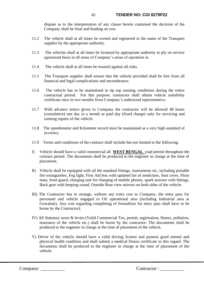dispute as to the interpretation of any clause herein contained the decision of the Company shall be final and binding on you.

- 11.2 The vehicle shall at all times be owned and registered in the name of the Transport supplier by the appropriate authority.
- 11.3 The vehicles shall at all times be licensed by appropriate authority to ply on service agreement basis in all areas of Company's areas of operation in.
- 11.4 The vehicle shall at all times be insured against all risks.
- 11.5 The Transport supplier shall ensure that the vehicle provided shall be free from all financial and legal complications and encumbrance.
- 11.6 The vehicle has to be maintained in tip top running conditions during the entire contractual period. For this purpose, contractor shall obtain vehicle suitability certificate once in two months from Company's authorized representative.
- 11.7 With advance notice given to Company the contractor will be allowed 48 hours (cumulative) one day in a month as paid day (fixed charge) only for servicing and running repairs of the vehicle.
- 11.8 The speedometer and Kilometer record must be maintained at a very high standard of accuracy.
- 11.9 Terms and conditions of the contract shall include but not limited to the following:
- I) Vehicle should have a valid commercial all **WEST BENGAL** road permit throughout the contract period. The documents shall be produced to the engineer in charge at the time of placement.
- II) Vehicle shall be equipped with all the standard fittings, instruments etc, including portable fire extinguisher, Fog light, First Aid box with updated list of medicines, Seat cover, Floor mats, front guard, charging unit for charging of mobile phones, spark arrestor with fittings, Back gear with beeping sound, Outside Rear view mirrors on both sides of the vehicle.
- III) The Contractor has to arrange, without any extra cost to Company, the entry pass for personnel and vehicle engaged to Oil operational area (including Industrial area at Guwahati). Any cost regarding completing of formalities for entry pass shall have to be borne by the Contractor).
- IV) All Statutory taxes & levies (Valid Commercial Tax, permit, registration, fitness, pollution, insurance of the vehicle etc.) shall be borne by the contractor. The documents shall be produced to the engineer in charge at the time of placement of the vehicle.
- V) Driver of the vehicle should have a valid driving licence and possess good mental and physical health condition and shall submit a medical fitness certificate in this regard. The documents shall be produced to the engineer in charge at the time of placement of the vehicle.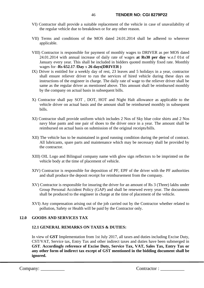- VI) Contractor shall provide a suitable replacement of the vehicle in case of unavailability of the regular vehicle due to breakdown or for any other reason.
- VII) Terms and conditions of the MOS dated 24.01.2014 shall be adhered to wherever applicable.
- VIII) Contractor is responsible for payment of monthly wages to DRIVER as per MOS dated 24.01.2014 with annual increase of daily rate of wages **at Rs30 per day** w.e.f 01st of January every year. This shall be included in bidders quoted monthly fixed rate. Monthly wages for -**Rs 652.17 /Day** x **26 days(DRIVER )**
- IX) Driver is entitled for a weekly day of rest, 23 leaves and 5 holidays in a year, contractor shall ensure reliever driver to run the services of hired vehicle during these days on instructions of the engineer in charge. The daily rate of wage to the reliever driver shall be same as the regular driver as mentioned above. This amount shall be reimbursed monthly by the company on actual basis in subsequent bills.
- X) Contractor shall pay SOT , DOT, HOT and Night Halt allowance as applicable to the vehicle driver on actual basis and the amount shall be reimbursed monthly in subsequent bills.
- XI) Contractor shall provide uniform which includes 2 Nos of Sky blue color shirts and 2 Nos navy blue pants and one pair of shoes to the driver once in a year. The amount shall be reimbursed on actual basis on submission of the original receipts/bills.
- XII) The vehicle has to be maintained in good running condition during the period of contract. All lubricants, spare parts and maintenance which may be necessary shall be provided by the contractor.
- XIII) OIL Logo and Bilingual company name with glow sign reflectors to be imprinted on the vehicle body at the time of placement of vehicle.
- XIV) Contractor is responsible for deposition of PF, EPF of the driver with the PF authorities and shall produce the deposit receipt for reimbursement from the company.
- XV) Contractor is responsible for insuring the driver for an amount of Rs 3 (Three) lakhs under Group Personal Accident Policy (GAP) and shall be renewed every year. The documents shall be produced to the engineer in charge at the time of placement of the vehicle.
- XVI) Any compensation arising out of the job carried out by the Contractor whether related to pollution, Safety or Health will be paid by the Contractor only.

# **12.0 GOODS AND SERVICES TAX**

### **12.1 GENERAL REMARKS ON TAXES & DUTIES:**

In view of **GST** Implementation from 1st July 2017, all taxes and duties including Excise Duty, CST/VAT, Service tax, Entry Tax and other indirect taxes and duties have been submerged in **GST**. **Accordingly reference of Excise Duty, Service Tax, VAT, Sales Tax, Entry Tax or any other form of indirect tax except of GST mentioned in the bidding document shall be ignored.**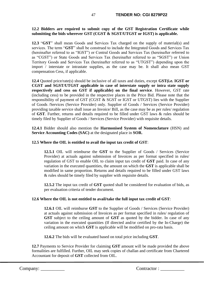# **12.2 Bidders are required to submit copy of the GST Registration Certificate while submitting the bids wherever GST (CGST & SGST/UTGST or IGST) is applicable.**

**12.3** "**GST**" shall mean Goods and Services Tax charged on the supply of material(s) and services. The term "**GST**" shall be construed to include the Integrated Goods and Services Tax (hereinafter referred to as "IGST") or Central Goods and Services Tax (hereinafter referred to as "CGST") or State Goods and Services Tax (hereinafter referred to as "SGST") or Union Territory Goods and Services Tax (hereinafter referred to as "UTGST") depending upon the import / interstate or intrastate supplies, as the case may be. It shall also mean GST compensation Cess, if applicable.

**12.4** Quoted price/rate(s) should be inclusive of all taxes and duties, except **GST(i.e. IGST or CGST and SGST/UTGST applicable in case of interstate supply or intra state supply respectively and cess on GST if applicable) on the final service**. However, GST rate (including cess) to be provided in the respective places in the Price Bid. Please note that the responsibility of payment of GST (CGST & SGST or IGST or UTGST) lies with the Supplier of Goods /Services (Service Provider) only. Supplier of Goods / Services (Service Provider) providing taxable service shall issue an Invoice/ Bill, as the case may be as per rules/ regulation of **GST**. Further, returns and details required to be filled under GST laws & rules should be timely filed by Supplier of Goods / Services (Service Provider) with requisite details.

**12.4.1** Bidder should also mention the **Harmonised System of Nomenclature** (HSN) and **Service Accounting Codes (SAC)** at the designated place in **SOR.**

# **12.5 Where the OIL is entitled to avail the input tax credit of GST**:

**12.5.1** OIL will reimburse the **GST** to the Supplier of Goods / Services (Service Provider) at actuals against submission of Invoices as per format specified in rules/ regulation of GST to enable OIL to claim input tax credit of **GST** paid. In case of any variation in the executed quantities, the amount on which the **GST** is applicable shall be modified in same proportion. Returns and details required to be filled under GST laws & rules should be timely filed by supplier with requisite details.

**12.5.2** The input tax credit of **GST** quoted shall be considered for evaluation of bids, as per evaluation criteria of tender document.

### **12.6 Where the OIL is not entitled to avail/take the full input tax credit of GST**:

**12.6.1** OIL will reimburse **GST** to the Supplier of Goods / Services (Service Provider) at actuals against submission of Invoices as per format specified in rules/ regulation of **GST** subject to the ceiling amount of **GST** as quoted by the bidder. In case of any variation in the executed quantities (If directed and/or certified by the In-Charge) the ceiling amount on which **GST** is applicable will be modified on pro-rata basis.

**12.6.2** The bids will be evaluated based on total price including **GST**.

**12.7** Payments to Service Provider for claiming **GST** amount will be made provided the above formalities are fulfilled. Further, OIL may seek copies of challan and certificate from Chartered Accountant for deposit of **GST** collected from OIL.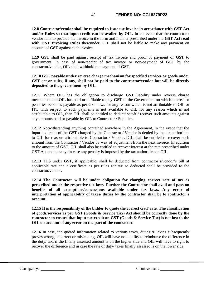**12.8 Contractor/vendor shall be required to issue tax invoice in accordance with GST Act and/or Rules so that input credit can be availed by OIL.** In the event that the contractor / vendor fails to provide the invoice in the form and manner prescribed under the **GST Act read** with GST Invoicing Rules thereunder, OIL shall not be liable to make any payment on account of **GST** against such invoice.

**12.9 GST** shall be paid against receipt of tax invoice and proof of payment of **GST** to government. In case of non-receipt of tax invoice or non-payment of **GST** by the contractor/vendor, OIL shall withhold the payment of **GST**.

# **12.10 GST payable under reverse charge mechanism for specified services or goods under GST act or rules, if any, shall not be paid to the contractor/vendor but will be directly deposited to the government by OIL.**

**12.11** Where OIL has the obligation to discharge **GST** liability under reverse charge mechanism and OIL has paid or is /liable to pay **GST** to the Government on which interest or penalties becomes payable as per GST laws for any reason which is not attributable to OIL or ITC with respect to such payments is not available to OIL for any reason which is not attributable to OIL, then OIL shall be entitled to deduct/ setoff / recover such amounts against any amounts paid or payable by OIL to Contractor / Supplier.

**12.12** Notwithstanding anything contained anywhere in the Agreement, in the event that the input tax credit of the **GST** charged by the Contractor / Vendor is denied by the tax authorities to OIL for reasons attributable to Contractor / Vendor, OIL shall be entitled to recover such amount from the Contractor / Vendor by way of adjustment from the next invoice. In addition to the amount of **GST**, OIL shall also be entitled to recover interest at the rate prescribed under GST Act and penalty, in case any penalty is imposed by the tax authorities on OIL.

**12.13** TDS under GST, if applicable, shall be deducted from contractor's/vendor's bill at applicable rate and a certificate as per rules for tax so deducted shall be provided to the contractor/vendor.

**12.14 The Contractor will be under obligation for charging correct rate of tax as prescribed under the respective tax laws**. **Further the Contractor shall avail and pass on benefits of all exemptions/concessions available under tax laws. Any error of interpretation of applicability of taxes/ duties by the contractor shall be to contractor's account.**

**12.15 It is the responsibility of the bidder to quote the correct GST rate. The classification of goods/services as per GST (Goods & Service Tax) Act should be correctly done by the contractor to ensure that input tax credit on GST (Goods & Service Tax) is not lost to the OIL on account of any error on the part of the contractor.** 

**12.16** In case, the quoted information related to various taxes, duties & levies subsequently proves wrong, incorrect or misleading, OIL will have no liability to reimburse the difference in the duty/ tax, if the finally assessed amount is on the higher side and OIL will have to right to recover the difference and in case the rate of duty/ taxes finally assessed is on the lower side.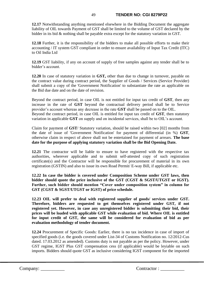# 49 **TENDER NO: CGI 8279P22**

**12.17** Notwithstanding anything mentioned elsewhere in the Bidding Document the aggregate liability of OIL towards Payment of GST shall be limited to the volume of GST declared by the bidder in its bid & nothing shall be payable extra except for the statutory variation in GST.

**12.18** Further, it is the responsibility of the bidders to make all possible efforts to make their accounting / IT system GST compliant in order to ensure availability of Input Tax Credit (ITC) to Oil India Ltd

**12.19** GST liability, if any on account of supply of free samples against any tender shall be to bidder's account.

**12.20** In case of statutory variation in **GST,** other than due to change in turnover, payable on the contract value during contract period, the Supplier of Goods / Services (Service Provider) shall submit a copy of the 'Government Notification' to substantiate the rate as applicable on the Bid due date and on the date of revision.

Beyond the contract period, in case OIL is not entitled for input tax credit of **GST**, then any increase in the rate of **GST** beyond the contractual delivery period shall be to Service provider's account whereas any decrease in the rate **GST** shall be passed on to the OIL. Beyond the contract period, in case OIL is entitled for input tax credit of **GST**, then statutory variation in applicable **GST** on supply and on incidental services, shall be to OIL's account.

Claim for payment of **GST**/ Statutory variation, should be raised within two [02] months from the date of issue of 'Government Notification' for payment of differential (in %) **GST**, otherwise claim in respect of above shall not be entertained for payment of arrears. **The base date for the purpose of applying statutory variation shall be the Bid Opening Date.**

**12.21** The contractor will be liable to ensure to have registered with the respective tax authorities, wherever applicable and to submit self-attested copy of such registration certificate(s) and the Contractor will be responsible for procurement of material in its own registration (GSTIN) and also to issue its own Road Permit/ E-way Bill, if applicable etc.

**12.22 In case the bidder is covered under Composition Scheme under GST laws, then bidder should quote the price inclusive of the GST (CGST & SGST/UTGST or IGST). Further, such bidder should mention "Cover under composition system" in column for GST (CGST & SGST/UTGST or IGST) of price schedule.** 

**12.23 OIL will prefer to deal with registered supplier of goods/ services under GST. Therefore, bidders are requested to get themselves registered under GST, if not registered yet. However, in case any unregistered bidder is submitting their bid, their prices will be loaded with applicable GST while evaluation of bid. Where OIL is entitled for input credit of GST, the same will be considered for evaluation of bid as per evaluation methodology of tender document.**

**12.24** Procurement of Specific Goods: Earlier, there is no tax incidence in case of import of specified goods (i.e. the goods covered under List-34 of Customs Notification no. 12/2012-Cus dated. 17.03.2012 as amended). Customs duty is not payable as per the policy. However, under GST regime, IGST Plus GST compensation cess (if applicable) would be leyiable on such imports. Bidders should quote GST as inclusive considering IGST component for the imported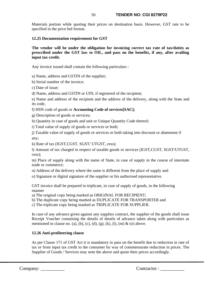Materials portion while quoting their prices on destination basis. However, GST rate to be specified in the price bid format.

# **12.25 Documentation requirement for GST**

# **The vendor will be under the obligation for invoicing correct tax rate of tax/duties as prescribed under the GST law to OIL, and pass on the benefits, if any, after availing input tax credit.**

Any invoice issued shall contain the following particulars :

a) Name, address and GSTIN of the supplier;

b) Serial number of the invoice;

c) Date of issue;

d) Name, address and GSTIN or UIN, if registered of the recipient;

e) Name and address of the recipient and the address of the delivery, along with the State and its code,

f) HSN code of goods or **Accounting Code of services[SAC];**

g) Description of goods or services;

h) Quantity in case of goods and unit or Unique Quantity Code thereof;

i) Total value of supply of goods or services or both;

j) Taxable value of supply of goods or services or both taking into discount or abatement if any;

k) Rate of tax (IGST,CGST, SGST/ UTGST, cess);

l) Amount of tax charged in respect of taxable goods or services (IGST,CGST, SGST/UTGST, cess);

m) Place of supply along with the name of State, in case of supply in the course of interstate trade or commerce;

n) Address of the delivery where the same is different from the place of supply and

o) Signature or digital signature of the supplier or his authorised representative.

GST invoice shall be prepared in triplicate, in case of supply of goods, in the following manner

a) The original copy being marked as ORIGINAL FOR RECIPIENT;

b) The duplicate copy being marked as DUPLICATE FOR TRANSPORTER and

c) The triplicate copy being marked as TRIPLICATE FOR SUPPLIER.

In case of any advance given against any supplies contract, the supplier of the goods shall issue Receipt Voucher containing the details of details of advance taken along with particulars as mentioned in clause no. (a), (b), (c), (d), (g), (k), (l), (m) & (o) above.

# **12.26 Anti-profiteering clause**

As per Clause 171 of GST Act it is mandatory to pass on the benefit due to reduction in rate of tax or from input tax credit to the consumer by way of commensurate reduction in prices. The Supplier of Goods / Services may note the above and quote their prices accordingly.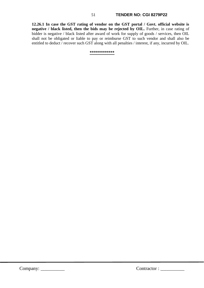### 51 **TENDER NO: CGI 8279P22**

**12.26.1 In case the GST rating of vendor on the GST portal / Govt. official website is negative / black listed, then the bids may be rejected by OIL.** Further, in case rating of bidder is negative / black listed after award of work for supply of goods / services, then OIL shall not be obligated or liable to pay or reimburse GST to such vendor and shall also be entitled to deduct / recover such GST along with all penalties / interest, if any, incurred by OIL.

**\*\*\*\*\*\*\*\*\*\*\*\***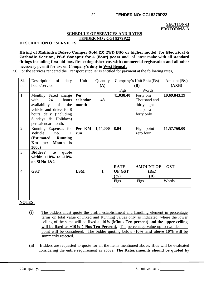#### **SECTION-II PROFORMA-A**

## **SCHEDULE OF SERVICES AND RATES TENDER NO : CGI 8279P22**

**DESCRIPTION OF SERVICES** 

**Hiring of Mahindra Bolero Camper Gold ZX 2WD BS6 or higher model for Electrical & Cathodic Section, PS-8 Sonapur for 4 (Four) years and of latest make with all standard fittings including first aid box, fire extinguisher etc. with commercial registration and all other necessary permit for use on Company's duty in West Bengal .**

2.0 For the services rendered the Transport supplier is entitled for payment at the following rates,

| Sl.            | Description<br>of<br>duty      | Unit       | Quantity     | Company's Unit Rate (Rs) |                  | Amount $(Rs)$ |
|----------------|--------------------------------|------------|--------------|--------------------------|------------------|---------------|
| no.            | hours/service                  |            | (A)          | (B)                      |                  | (AXB)         |
|                |                                |            |              | Figs                     | Words            |               |
| $\mathbf{1}$   | Monthly Fixed charge           | Per        |              | 41,038.40                | Forty one        | 19,69,843.29  |
|                | with<br>24<br>hours            | calendar   | 48           |                          | Thousand and     |               |
|                | availability<br>of<br>the      | month      |              |                          | thirty eight     |               |
|                | vehicle and driver for 8       |            |              |                          | and paisa        |               |
|                | hours daily (including         |            |              |                          | forty only       |               |
|                | Sundays & Holidays)            |            |              |                          |                  |               |
|                | per calendar month.            |            |              |                          |                  |               |
| $\overline{2}$ | Running Expenses for           | Per KM     | 1,44,000     | 8.04                     | Eight point      | 11,57,760.00  |
|                | <b>Vehicle</b><br>1<br>no.     | run        |              |                          | zero four.       |               |
|                | (Estimated Running)            |            |              |                          |                  |               |
|                | Month is<br>Km per             |            |              |                          |                  |               |
|                | 3000)                          |            |              |                          |                  |               |
| 3              | <b>Bidders'</b><br>to<br>quote |            |              |                          |                  |               |
|                | within $+10\%$ to $-10\%$      |            |              |                          |                  |               |
|                | on Sl No 1&2                   |            |              |                          |                  |               |
|                |                                |            |              | <b>RATE</b>              | <b>AMOUNT OF</b> | <b>GST</b>    |
| $\overline{4}$ | <b>GST</b>                     | <b>LSM</b> | $\mathbf{1}$ | OF GST                   | (Rs.)            |               |
|                |                                |            |              | (%)<br>(B)               |                  |               |
|                |                                |            |              | Figs                     | Figs             | Words         |
|                |                                |            |              |                          |                  |               |
|                |                                |            |              |                          |                  |               |
|                |                                |            |              |                          |                  |               |

**NOTES:**

- (i) The bidders must quote the profit, establishment and handling element in percentage terms on total value of Fixed and Running values only as indicated, where the lower ceiling of the same will be fixed a **-10% (Minus Ten percent) and the upper ceiling**  will be fixed as  $+10\%$  (Plus Ten Percent). The percentage value up to two decimal point will be considered. The bidder quoting below **-10% and above 10%** will be summarily rejected.
- **(ii)** Bidders are requested to quote for all the items mentioned above. Bids will be evaluated considering the entire requirement as above. **The Rates/amounts should be quoted by**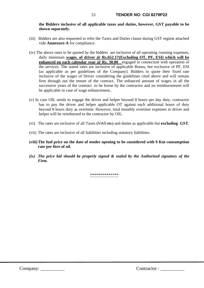**the Bidders inclusive of all applicable taxes and duties, however, GST payable to be shown separately.**

- (iii) Bidders are also requested to refer the Taxes and Duties clause during GST regime attached vide **Annexure-A** for compliance.
- (iv) The above rates to be quoted by the bidders are inclusive of all operating /running expenses, daily minimum **wages. of driver @ Rs.652.17(Excluding OT, PF, ESI) which will be enhanced on each calendar year @ Rs. 30.00** engaged in connection with operation of the services. The stated rates are inclusive of applicable Bonus, but exclusive of PF, ESI (as applicable as per guidelines of the Company). Bidders to quote their fixed rate inclusive of the wages of Driver considering the guidelines cited above and will remain firm through out the tenure of the contract. The enhanced amount of wages in all the successive years of the contract to be borne by the contractor and no reimbursement will be applicable in case of wage enhancement..
- (v) In case OIL needs to engage the driver and helper beyond 8 hours per day duty, contractor has to pay the driver and helper applicable OT against each additional hours of duty beyond 8 hours duty as overtime. However, total monthly overtime expenses to driver and helper will be reimbursed to the contractor by OIL.
- (vi) The rates are inclusive of all Taxes (VAT etc) and duties as applicable but **excluding GST**.
- (vii) The rates are inclusive of all liabilities including statutory liabilities.
- **(viii)The fuel price on the date of tender opening to be considered with 9 Km consumption rate per litre of oil.**
- *(ix) The price bid should be properly signed & sealed by the Authorized signatory of the Firm.*

\*\*\*\*\*\*\*\*\*\*\*\*\*\*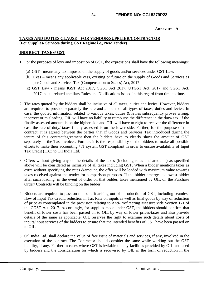### **Annexure –A**

# **TAXES AND DUTIES CLAUSE - FOR VENDOR/SUPPLIER/CONTRACTOR (For Supplies/ Services during GST Regime i.e., New Tender)**

## **INDIRECT TAXES/ GST**

- 1. For the purposes of levy and imposition of GST, the expressions shall have the following meanings:
	- (a) GST means any tax imposed on the supply of goods and/or services under GST Law.
	- (b) Cess means any applicable cess, existing or future on the supply of Goods and Services as per Goods and Services Tax (Compensation to States) Act, 2017.
	- (c) GST Law means IGST Act 2017, CGST Act 2017, UTGST Act, 2017 and SGST Act, 2017and all related ancillary Rules and Notifications issued in this regard from time to time.
- 2. The rates quoted by the bidders shall be inclusive of all taxes, duties and levies. However, bidders are required to provide separately the rate and amount of all types of taxes, duties and levies. In case, the quoted information related to various taxes, duties & levies subsequently proves wrong, incorrect or misleading, OIL will have no liability to reimburse the difference in the duty/ tax, if the finally assessed amount is on the higher side and OIL will have to right to recover the difference in case the rate of duty/ taxes finally assessed is on the lower side. Further, for the purpose of this contract, it is agreed between the parties that if Goods and Services Tax introduced during the tenure of this contract/agreement then the bidders have to clearly show the amount of GST separately in the Tax Invoices. Further, it is the responsibility of the bidders to make all possible efforts to make their accounting / IT system GST compliant in order to ensure availability of Input Tax Credit (ITC) to Oil India Ltd.
- 3. Offers without giving any of the details of the taxes (Including rates and amounts) as specified above will be considered as inclusive of all taxes including GST. When a bidder mentions taxes as extra without specifying the rates &amount, the offer will be loaded with maximum value towards taxes received against the tender for comparison purposes. If the bidder emerges as lowest bidder after such loading, in the event of order on that bidder, taxes mentioned by OIL on the Purchase Order/ Contracts will be binding on the bidder.
- 4. Bidders are required to pass on the benefit arising out of introduction of GST, including seamless flow of Input Tax Credit, reduction in Tax Rate on inputs as well as final goods by way of reduction of price as contemplated in the provision relating to Anti-Profiteering Measure vide Section 171 of the CGST Act, 2017. Accordingly, for supplies made under GST, the bidders should confirm that benefit of lower costs has been passed on to OIL by way of lower prices/taxes and also provide details of the same as applicable. OIL reserves the right to examine such details about costs of inputs/input services of the bidders to ensure that the intended benefits of GST have been passed on to OIL.
- 5. Oil India Ltd. shall declare the value of free issue of materials and services, if any, involved in the execution of the contract. The Contractor should consider the same while working out the GST liability, if any. Further in cases where GST is leviable on any facilities provided by OIL and used by bidders and the consideration for which is recovered by OIL in the form of reduction in the

Company: \_\_\_\_\_\_\_\_\_\_ Contractor : \_\_\_\_\_\_\_\_\_\_

**\_\_\_\_\_\_\_\_\_\_\_\_\_\_\_\_\_\_\_\_\_\_\_\_\_\_\_\_\_\_\_\_\_\_\_\_\_\_\_\_\_\_\_\_\_\_\_\_\_\_\_\_\_\_\_\_\_\_\_\_\_\_\_\_\_\_\_\_\_\_\_\_\_\_\_\_\_\_\_**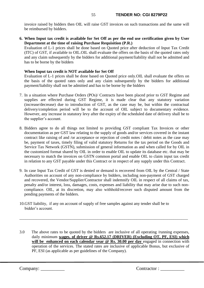invoice raised by bidders then OIL will raise GST invoices on such transactions and the same will be reimbursed by bidders.

**6. When Input tax credit is available for Set Off as per the end use certification given by User Department at the time of raising Purchase Requisition (P.R.)**

Evaluation of L-1 prices shall be done based on Quoted price after deduction of Input Tax Credit (ITC) of GST, if available to OIL.OIL shall evaluate the offers on the basis of the quoted rates only and any claim subsequently by the bidders for additional payment/liability shall not be admitted and has to be borne by the bidders

## **When Input tax credit is NOT available for Set Off**

Evaluation of L-1 prices shall be done based on Quoted price only.OIL shall evaluate the offers on the basis of the quoted rates only and any claim subsequently by the bidders for additional payment/liability shall not be admitted and has to be borne by the bidders

- 7. In a situation where Purchase Orders (POs)/ Contracts have been placed prior to GST Regime and supplies are effected during GST Regime, it is made clear that any statutory variation (increase/decrease) due to introduction of GST, as the case may be, but within the contractual delivery/completion period will be to the account of OIL subject to documentary evidence. However, any increase in statutory levy after the expiry of the scheduled date of delivery shall be to the supplier's account.
- 8. Bidders agree to do all things not limited to providing GST compliant Tax Invoices or other documentation as per GST law relating to the supply of goods and/or services covered in the instant contract like raising of and /or acceptance or rejection of credit notes / debit notes as the case may be, payment of taxes, timely filing of valid statutory Returns for the tax period on the Goods and Service Tax Network (GSTN), submission of general information as and when called for by OIL in the customized format shared by OIL in order to enable OIL to update its database etc. that may be necessary to match the invoices on GSTN common portal and enable OIL to claim input tax credit in relation to any GST payable under this Contract or in respect of any supply under this Contract.
- 9. In case Input Tax Credit of GST is denied or demand is recovered from OIL by the Central / State Authorities on account of any non-compliance by bidders, including non-payment of GST charged and recovered, the Vendor/Supplier/Contractor shall indemnify OIL in respect of all claims of tax, penalty and/or interest, loss, damages, costs, expenses and liability that may arise due to such noncompliance. OIL, at its discretion, may also withhold/recover such disputed amount from the pending payments of the bidders.
- 10.GST liability, if any on account of supply of free samples against any tender shall be to bidder's account.
- 3.0 The above rates to be quoted by the bidders are inclusive of all operating /running expenses, daily minimum **wages. of driver @ Rs.652.17 (DRIVER) (Excluding OT, PF, ESI) which will be enhanced on each calendar year @ Rs. 30.00 per day** engaged in connection with operation of the services. The stated rates are inclusive of applicable Bonus, but exclusive of PF, ESI (as applicable as per guidelines of the Company).

\_\_\_\_\_\_\_\_\_\_\_\_\_\_\_\_\_\_\_\_\_\_\_\_\_\_\_\_\_\_\_\_\_\_\_\_\_\_\_\_\_\_\_\_\_\_\_\_\_\_\_\_\_\_\_\_\_\_\_\_\_\_\_\_\_\_\_\_\_\_\_\_\_\_\_\_\_\_\_\_\_\_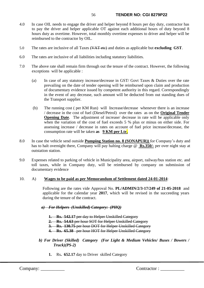- 4.0 In case OIL needs to engage the driver and helper beyond 8 hours per day duty, contractor has to pay the driver and helper applicable OT against each additional hours of duty beyond 8 hours duty as overtime. However, total monthly overtime expenses to driver and helper will be reimbursed to the contractor by OIL.
- 5.0 The rates are inclusive of all Taxes (VAT etc) and duties as applicable but **excluding GST**.
- 6.0 The rates are inclusive of all liabilities including statutory liabilities.
- 7.0 The above rate shall remain firm through out the tenure of the contract. However, the following exceptions will be applicable :
	- (a) In case of any statutory increase/decrease in GST/ Govt Taxes & Duties over the rate prevailing on the date of tender opening will be reimbursed upon claim and production of documentary evidence issued by competent authority in this regard. Correspondingly in the event of any decrease, such amount will be deducted from out standing dues of the Transport supplier.
	- (b) The running cost ( per KM Run) will Increase/decrease whenever there is an increase / decrease in the cost of fuel (Diesel/Petrol) over the rates as on the **Original Tender Opening Date**. The adjustment of increase/ decrease in rate will be applicable only when the variation of the cost of fuel exceeds 5 % plus or minus on either side. For assessing increase / decrease in rates on account of fuel price increase/decrease, the consumption rate will be taken **as 9 KM per Ltr.**
- 8.0 In case the vehicle send outside **Pumping Station no. 8 (SONAPUR))** for Company's duty and has to halt overnight there, Company will pay halting charge @ **Rs.350/-** per over night stay at outstation station.
- 9.0 Expenses related to parking of vehicle in Municipality area, airport, railway/bus station etc. and toll taxes, while in Company duty, will be reimbursed by company on submission of documentary evidence

### 10. A) **Wages to be paid as per Memorandum of Settlement dated 24-01-2014**:

Following are the rates vide Approval No. **PL/ADMIN/2/3-17/249 of 21-05-2018** and applicable for the calendar year **2017**, which will be revised in the succeeding years during the tenure of the contract.

*a) For Helpers (Unskilled) Category: (PHQ)*

- **1. Rs. 542.17** per day to Helper Unskilled Category
- **2. Rs. 54.63** per hour SOT for Helper Unskilled Category
- **3. Rs. 130.75** per hour DOT for Helper Unskilled Category
- **4. Rs. 65.38** per hour HOT for Helper Unskilled Category
- *b) For Driver (Skilled) Category (For Light & Medium Vehicles/ Buses / Bowers / Truck)(PS-2)*
	- **1.** Rs**. 652.17** day to Driver skilled Category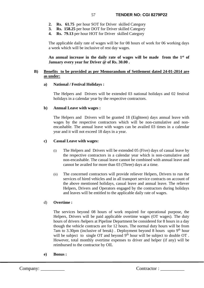- **2. Rs. 61.75** per hour SOT for Driver skilled Category
- **3. Rs. 158.25** per hour DOT for Driver skilled Category
- **4. Rs. 79.13** per hour HOT for Driver skilled Category

The applicable daily rate of wages will be for 08 hours of work for 06 working days a week which will be inclusive of rest day wages.

**An annual increase in the daily rate of wages will be made from the 1st of January every year for Driver @ of Rs. 30.00 .**

## **B) Benefits to be provided as per Memorandum of Settlement dated 24-01-2014 are as under:**

#### **a) National / Festival Holidays :**

The Helpers and Drivers will be extended 03 national holidays and 02 festival holidays in a calendar year by the respective contractors.

#### **b) Annual Leave with wages :**

The Helpers and Drivers will be granted 18 (Eighteen) days annual leave with wages by the respective contractors which will be non-cumulative and nonencashable. The annual leave with wages can be availed 03 times in a calendar year and it will not exceed 18 days in a year.

#### **c) Casual Leave with wages:**

- (i) The Helpers and Drivers will be extended 05 (Five) days of casual leave by the respective contractors in a calendar year which is non-cumulative and non-encashable. The casual leave cannot be combined with annual leave and cannot be availed for more than 03 (Three) days at a time.
- (ii) The concerned contractors will provide reliever Helpers, Drivers to run the services of hired vehicles and in all transport service contracts on account of the above mentioned holidays, casual leave and annual leave. The reliever Helpers, Drivers and Operators engaged by the contractors during holidays and leaves will be entitled to the applicable daily rate of wages.

### d) **Overtime :**

The services beyond 08 hours of work required for operational purpose, the Helpers, Drivers will be paid applicable overtime wages (OT wages). The duty hours of drivers /helpers at Pipeline Department be considered for 8 hours in a day though the vehicle contracts are for 12 hours. The normal duty hours will be from 7am to 3.30pm (inclusive of break). Deployment beyond 8 hours upto  $9<sup>th</sup>$  hour will be subject to single OT and beyond  $9<sup>th</sup>$  hour will be subject to double OT. However, total monthly overtime expenses to driver and helper (if any) will be reimbursed to the contractor by OIL

**e) Bonus :**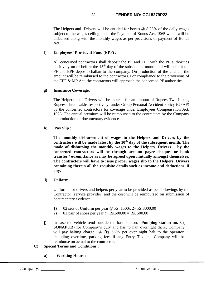The Helpers and Drivers will be entitled for bonus  $\omega$  8.33% of the daily wages subject to the wages ceiling under the Payment of Bonus Act, 1965 which will be disbursed along with the monthly wages as per provisions of payment of Bonus Act.

# f) **Employees' Provident Fund (EPF) :**

All concerned contractors shall deposit the PF and EPF with the PF authorities positively on or before the  $15<sup>th</sup>$  day of the subsequent month and will submit the PF and EPF deposit challan to the company. On production of the challan, the amount will be reimbursed to the contractors. For compliance to the provisions of the EPF & MP Act, the contractors will approach the concerned PF authorities.

## **g) Insurance Coverage:**

The Helpers and Drivers will be insured for an amount of Rupees Two Lakhs, Rupees Three Lakhs respectively, under Group Personal Accident Policy (GPAP) by the concerned contractors for coverage under Employees Compensation Act, 1923. The annual premium will be reimbursed to the contractors by the Company on production of documentary evidence.

**h) Pay Slip** :

**The monthly disbursement of wages to the Helpers and Drivers by the contractors will be made latest by the 10th day of the subsequent month. The mode of disbursing the monthly wages to the Helpers, Drivers by the concerned contractors will be through account payee cheques or bank transfer / e-remittance as may be agreed upon mutually amongst themselves. The contractors will have to issue proper wages slip to the Helpers, Drivers containing therein all the requisite details such as income and deductions, if any.**

**i) Uniform**:

Uniforms for drivers and helpers per year to be provided as per followings by the Contractor (service provider) and the cost will be reimbursed on submission of documentary evidence.

- 1) 02 sets of Uniform per year @ Rs. 1500x 2= Rs.3000.00
- 2) 01 pair of shoes per year  $\omega$  Rs.500.00 = Rs. 500.00
- **j)** In case the vehicle send outside the base station, **Pumping station no. 8 ( SONAPUR)** for Company's duty and has to halt overnight there, Company will pay halting charge **@ Rs 350/-** per over night halt to the operator, including overtime, parking fees if any Entry Tax and Company will be reimburse on actual to the contractor.
- **C) Special Terms and Conditions :**
	- **a) Working Hours :**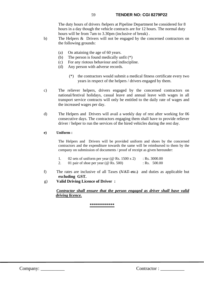The duty hours of drivers /helpers at Pipeline Department be considered for 8 hours in a day though the vehicle contracts are for 12 hours. The normal duty hours will be from 7am to 3.30pm (inclusive of break) .

- b) The Helpers & Drivers will not be engaged by the concerned contractors on the following grounds:
	- (a) On attaining the age of 60 years.
	- (b) The person is found medically unfit (\*)
	- (c) For any riotous behaviour and indiscipline.
	- (d) Any person with adverse records.
		- (\*) the contractors would submit a medical fitness certificate every two years in respect of the helpers / drivers engaged by them.
- c) The reliever helpers, drivers engaged by the concerned contractors on national/festival holidays, casual leave and annual leave with wages in all transport service contracts will only be entitled to the daily rate of wages and the increased wages per day.
- d) The Helpers and Drivers will avail a weekly day of rest after working for 06 consecutive days. The contractors engaging them shall have to provide reliever driver / helper to run the services of the hired vehicles during the rest day.

## **e) Uniform :**

The Helpers and Drivers will be provided uniform and shoes by the concerned contractors and the expenditure towards the same will be reimbursed to them by the company on submission of documents / proof of receipt as given hereunder:

- 1. 02 sets of uniform per year (@ Rs. 1500 x 2) : Rs. 3000.00
- 2. 01 pair of shoe per year ( $\omega$  Rs. 500) : Rs. 500.00
- f) The rates are inclusive of all Taxes  $(\overline{VAT} \text{ etc.})$  and duties as applicable but **excluding GST.**
- g) **Valid Driving Licence of Driver :**

*Contractor shall ensure that the person engaged as driver shall have valid driving licence.*

**\*\*\*\*\*\*\*\*\*\*\*\***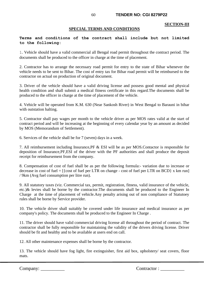#### **SECTION-III**

### **SPECIAL TERMS AND CONDITIONS**

# **Terms and conditions of the contract shall include but not limited to the following:**

1. Vehicle should have a valid commercial all Bengal road permit throughout the contract period. The documents shall be produced to the officer in charge at the time of placement.

2. Contractor has to arrange the necessary road permit for entry to the state of Bihar whenever the vehicle needs to be sent to Bihar. The cost of entry tax for Bihar road permit will be reimbursed to the contractor on actual on production of original document.

3. Driver of the vehicle should have a valid driving license and possess good mental and physical health condition and shall submit a medical fitness certificate in this regard.The documents shall be produced to the officer in charge at the time of placement of the vehicle.

4. Vehicle will be operated from K.M. 630 (Near Sankosh River) in West Bengal to Barauni in bihar with outstation halting.

5. Contractor shall pay wages per month to the vehicle driver as per MOS rates valid at the start of contract period and will be increasing at the beginning of every calendar year by an amount as decided by MOS (Memorandum of Settlement).

6. Services of the vehicle shall be for 7 (seven) days in a week.

7. All reimbursement including Insurance,PF & ESI will be as per MOS.Contactor is responsible for deposition of Insurance,PF,ESI of the driver with the PF authorities and shall produce the deposit receipt for reimbursement from the company.

8. Compensation of cost of fuel shall be as per the following formula:- variation due to increase or decrease in cost of fuel =  $[\{\text{cost of fuel per LTR on change - cost of fuel per LTR on BCD}\] x \text{ km run}]$ / 9km (Avg fuel consumption per litre run).

9. All statutory taxes (viz. Commercial tax, permit, registration, fitness, valid insurance of the vehicle, etc.)& levies shall be borne by the contractor.The documents shall be produced to the Engineer In Charge at the time of placement of vehicle.Any penalty arising out of non compliance of Statutoey rules shall be borne by Service provider.

10. The vehicle driver shall suitably be covered under life insurance and medical insurance as per company's policy. The documents shall be produced to the Engineer In Charge .

11. The driver should have valid commercial driving license all throughout the period of contract. The contractor shall be fully responsible for maintaining the validity of the drivers driving license. Driver should be fit and healthy and to be available at users end on call.

12. All other maintenance expenses shall be borne by the contractor.

13. The vehicle should have fog light, fire extinguisher, first aid box, upholstery/ seat covers, floor mats.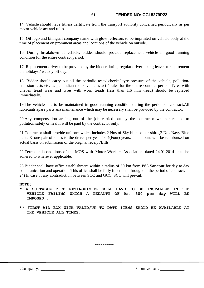14. Vehicle should have fitness certificate from the transport authority concerned periodically as per motor vehicle act and rules.

15. Oil logo and bilingual company name with glow reflectors to be imprinted on vehicle body at the time of placement on prominent areas and locations of the vehicle on outside.

16. During breakdown of vehicle, bidder should provide replacement vehicle in good running condition for the entire contract period.

17. Replacement driver to be provided by the bidder during regular driver taking leave or requirement on holidays / weekly off day.

18. Bidder should carry out all the periodic tests/ checks/ tyre pressure of the vehicle, pollution/ emission tests etc. as per Indian motor vehicles act / rules for the entire contract period. Tyres with uneven tread wear and tyres with worn treads (less than 1.6 mm tread) should be replaced immediately.

19.The vehicle has to be maintained in good running condition during the period of contract.All lubricants,spare parts ana maintenance which may be necessary shall be provided by the contractor.

20.Any compensation arising out of the job carried out by the contractor whether related to pollution,safety or health will be paid by the contractor only.

21.Contractor shall provide uniform which includes 2 Nos of Sky blue colour shirts,2 Nos Navy Blue pants & one pair of shoes to the driver per year for 4(Four) years.The amount will be reimbursed on actual basis on submission of the original receipt/Bills.

22.Terms and conditions of the MOS with 'Motor Workers Association' dated 24.01.2014 shall be adhered to wherever applicable.

23.Bidder shall have office establishment within a radius of 50 km from **PS8** S**onapu**r for day to day communication and operation. This office shall be fully functional throughout the period of contract. 24) In case of any contradiction between SCC and GCC, SCC will prevail.

#### **NOTE:**

- **\* A SUITABLE FIRE EXTINGUISHER WILL HAVE TO BE INSTALLED IN THE VEHICLE FAILING WHICH A PENALTY OF Rs. 500 per day WILL BE IMPOSED .**
- **\*\* FIRST AID BOX WITH VALID/UP TO DATE ITEMS SHOLD BE AVAILABLE AT THE VEHICLE ALL TIMES.**

\*\*\*\*\*\*\*\*\*\*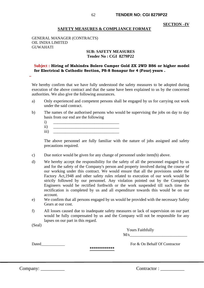#### **SECTION –IV**

#### **SAFETY MEASURES & COMPLIANCE FORMAT**

GENERAL MANAGER (CONTRACTS) OIL INDIA LIMITED GUWAHATI

#### **SUB: SAFETY MEASURES Tender No : CGI 8279P22**

# **Subject : Hiring of Mahindra Bolero Camper Gold ZX 2WD BS6 or higher model for Electrical & Cathodic Section, PS-8 Sonapur for 4 (Four) years .**

We hereby confirm that we have fully understood the safety measures to be adopted during execution of the above contract and that the same have been explained to us by the concerned authorities. We also give the following assurances.

- a) Only experienced and competent persons shall be engaged by us for carrying out work under the said contract.
- b) The names of the authorised persons who would be supervising the jobs on day to day basis from our end are the following
	- $i)$
	- $ii)$ iii) \_\_\_\_\_\_\_\_\_\_\_\_\_\_\_\_\_\_\_\_\_\_\_\_\_\_\_\_\_\_\_\_

The above personnel are fully familiar with the nature of jobs assigned and safety precautions required.

- c) Due notice would be given for any change of personnel under item(b) above.
- d) We hereby accept the responsibility for the safety of all the personnel engaged by us and for the safety of the Company's person and property involved during the course of our working under this contract. We would ensure that all the provisions under the Factory Act,1948 and other safety rules related to execution of our work would be strictly followed by our personnel. Any violation pointed out by the Company's Engineers would be rectified forthwith or the work suspended till such time the rectification is completed by us and all expenditure towards this would be on our account.
- e) We confirm that all persons engaged by us would be provided with the necessary Safety Gears at our cost.
- f) All losses caused due to inadequate safety measures or lack of supervision on our part would be fully compensated by us and the Company will not be responsible for any lapses on our part in this regard.

(Seal)

**..**

| Yours Faithfully |
|------------------|
| $\mathrm{M/s}$   |

Dated **Example 2** For & On Behalf Of Contractor

**\*\*\*\*\*\*\*\*\*\*\*\***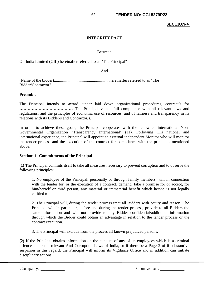#### **SECTION-V**

# **INTEGRITY PACT**

#### Between

Oil India Limited (OIL) hereinafter referred to as "The Principal"

And

(Name of the bidder)......................................................hereinafter referred to as "The Bidder/Contractor"

#### **Preamble**:

The Principal intends to award, under laid down organizational procedures, contract/s for **…………………………………** The Principal values full compliance with all relevant laws and regulations, and the principles of economic use of resources, and of fairness and transparency in its relations with its Bidder/s and Contractor/s.

In order to achieve these goals, the Principal cooperates with the renowned international Non-Governmental Organization "Transparency International" (TI). Following TI's national and international experience, the Principal will appoint an external independent Monitor who will monitor the tender process and the execution of the contract for compliance with the principles mentioned above.

## **Section: 1 -Commitments of the Principal**

**(1)** The Principal commits itself to take all measures necessary to prevent corruption and to observe the following principles:

1. No employee of the Principal, personally or through family members, will in connection with the tender for, or the execution of a contract, demand, take a promise for or accept, for him/herself or third person, any material or immaterial benefit which he/she is not legally entitled to.

2. The Principal will, during the tender process treat all Bidders with equity and reason. The Principal will in particular, before and during the tender process, provide to all Bidders the same information and will not provide to any Bidder confidential/additional information through which the Bidder could obtain an advantage in relation to the tender process or the contract execution.

3. The Principal will exclude from the process all known prejudiced persons.

**(2)** If the Principal obtains information on the conduct of any of its employees which is a criminal offence under the relevant Anti-Corruption Laws of India, or if there be a Page 2 of 6 substantive suspicion in this regard, the Principal will inform its Vigilance Office and in addition can initiate disciplinary actions.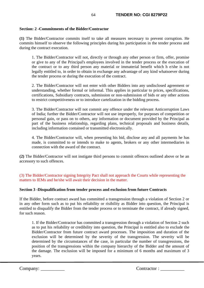## **Section: 2 -Commitments of the Bidder/Contractor**

**(1)** The Bidder/Contractor commits itself to take all measures necessary to prevent corruption. He commits himself to observe the following principles during his participation in the tender process and during the contract execution.

1. The Bidder/Contractor will not, directly or through any other person or firm, offer, promise or give to any of the Principal's employees involved in the tender process or the execution of the contract or to any third person any material or immaterial benefit which h e/she is not legally entitled to, in order to obtain in exchange any advantage of any kind whatsoever during the tender process or during the execution of the contract.

2. The Bidder/Contractor will not enter with other Bidders into any undisclosed agreement or understanding, whether formal or informal. This applies in particular to prices, specifications, certifications, Subsidiary contracts, submission or non-submission of bids or any other actions to restrict competitiveness or to introduce cartelization in the bidding process.

3. The Bidder/Contractor will not commit any offence under the relevant Anticorruption Laws of India; further the Bidder/Contractor will not use improperly, for purposes of competition or personal gain, or pass on to others, any information or document provided by the Principal as part of the business relationship, regarding plans, technical proposals and business details, including information contained or transmitted electronically.

4. The Bidder/Contractor will, when presenting his bid, disclose any and all payments he has made, is committed to or intends to make to agents, brokers or any other intermediaries in connection with the award of the contract.

**(2)** The Bidder/Contractor will not instigate third persons to commit offences outlined above or be an accessory to such offences.

(3) The Bidder/Contractor signing Integrity Pact shall not approach the Courts while representing the matters to IEMs and he/she will await their decision in the matter.

### **Section 3 -Disqualification from tender process and exclusion from future Contracts**

If the Bidder, before contract award has committed a transgression through a violation of Section 2 or in any other form such as to put his reliability or risibility as Bidder into question, the Principal is entitled to disqualify the Bidder from the tender process or to terminate the contract, if already signed, for such reason.

1. If the Bidder/Contractor has committed a transgression through a violation of Section 2 such as to put his reliability or credibility into question, the Principal is entitled also to exclude the Bidder/Contractor from future contract award processes. The imposition and duration of the exclusion will be determined by the severity of the transgression. The severity will be determined by the circumstances of the case, in particular the number of transgressions, the position of the transgressions within the company hierarchy of the Bidder and the amount of the damage. The exclusion will be imposed for a minimum of 6 months and maximum of 3 years.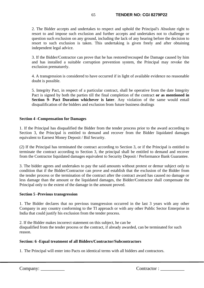2. The Bidder accepts and undertakes to respect and uphold the Principal's Absolute right to resort to and impose such exclusion and further accepts and undertakes not to challenge or question such exclusion on any ground, including the lack of any hearing before the decision to resort to such exclusion is taken. This undertaking is given freely and after obtaining independent legal advice.

3. If the Bidder/Contractor can prove that he has restored/recouped the Damage caused by him and has installed a suitable corruption prevention system, the Principal may revoke the exclusion prematurely.

4. A transgression is considered to have occurred if in light of available evidence no reasonable doubt is possible.

5. Integrity Pact, in respect of a particular contract, shall be operative from the date Integrity Pact is signed by both the parties till the final completion of the contract **or as mentioned in Section 9- Pact Duration whichever is later**. Any violation of the same would entail disqualification of the bidders and exclusion from future business dealings

### **Section 4 -Compensation for Damages**

1. If the Principal has disqualified the Bidder from the tender process prior to the award according to Section 3, the Principal is entitled to demand and recover from the Bidder liquidated damages equivalent to Earnest Money Deposit / Bid Security.

(2) If the Principal has terminated the contract according to Section 3, or if the Principal is entitled to terminate the contract according to Section 3, the principal shall be entitled to demand and recover from the Contractor liquidated damages equivalent to Security Deposit / Performance Bank Guarantee.

3. The bidder agrees and undertakes to pay the said amounts without protest or demur subject only to condition that if the Bidder/Contractor can prove and establish that the exclusion of the Bidder from the tender process or the termination of the contract after the contract award has caused no damage or less damage than the amount or the liquidated damages, the Bidder/Contractor shall compensate the Principal only to the extent of the damage in the amount proved.

### **Section 5 -Previous transgression**

1. The Bidder declares that no previous transgression occurred in the last 3 years with any other Company in any country conforming to the TI approach or with any other Public Sector Enterprise in India that could justify his exclusion from the tender process.

2. If the Bidder makes incorrect statement on this subject, he can be disqualified from the tender process or the contract, if already awarded, can be terminated for such reason.

# **Section: 6 -Equal treatment of all Bidders/Contractor/Subcontractors**

1. The Principal will enter into Pacts on identical terms with all bidders and contractors.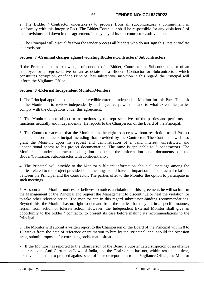## 66 **TENDER NO: CGI 8279P22**

2. The Bidder / Contractor undertake(s) to procure from all subcontractors a commitment in conformity with this Integrity Pact. The Bidder/Contractor shall be responsible for any violation(s) of the provisions laid down in this agreement/Pact by any of its sub-contractors/sub-vendors.

3. The Principal will disqualify from the tender process all bidders who do not sign this Pact or violate its provisions.

## **Section: 7 -Criminal charges against violating Bidders/Contractors/ Subcontractors**

If the Principal obtains knowledge of conduct of a Bidder, Contractor or Subcontractor, or of an employee or a representative or an associate of a Bidder, Contractor or Subcontractor, which constitutes corruption, or if the Principal has substantive suspicion in this regard, the Principal will inform the Vigilance Office.

## **Section: 8 -External Independent Monitor/Monitors**

1. The Principal appoints competent and credible external independent Monitor for this Pact. The task of the Monitor is to review independently and objectively, whether and to what extent the parties comply with the obligations under this agreement.

2. The Monitor is not subject to instructions by the representatives of the parties and performs his functions neutrally and independently. He reports to the Chairperson of the Board of the Principal.

3. The Contractor accepts that the Monitor has the right to access without restriction to all Project documentation of the Principal including that provided by the Contractor. The Contractor will also grant the Monitor, upon his request and demonstration of a valid interest, unrestricted and unconditional access to his project documentation. The same is applicable to Subcontractors. The Monitor is under contractual obligation to treat the information and documents of the Bidder/Contractor/Subcontractor with confidentiality.

4. The Principal will provide to the Monitor sufficient information about all meetings among the parties related to the Project provided such meetings could have an impact on the contractual relations between the Principal and the Contractor. The parties offer to the Monitor the option to participate in such meetings.

5. As soon as the Monitor notices, or believes to notice, a violation of this agreement, he will so inform the Management of the Principal and request the Management to discontinue or heal the violation, or to take other relevant action. The monitor can in this regard submit non-binding recommendations. Beyond this, the Monitor has no right to demand from the parties that they act in a specific manner, refrain from action or tolerate action. However, the Independent External Monitor shall give an opportunity to the bidder / contractor to present its case before making its recommendations to the Principal.

6. The Monitor will submit a written report to the Chairperson of the Board of the Principal within 8 to 10 weeks from the date of reference or intimation to him by the 'Principal' and, should the occasion arise, submit proposals for correcting problematic situations.

7. If the Monitor has reported to the Chairperson of the Board a Substantiated suspicion of an offence under relevant Anti-Corruption Laws of India, and the Chairperson has not, within reasonable time, taken visible action to proceed against such offence or reported it to the Vigilance Office, the Monitor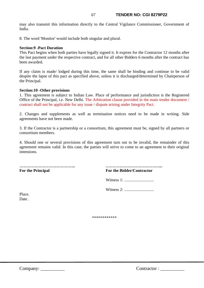may also transmit this information directly to the Central Vigilance Commissioner, Government of India.

8. The word 'Monitor' would include both singular and plural.

#### **Section:9 -Pact Duration**

This Pact begins when both parties have legally signed it. It expires for the Contractor 12 months after the last payment under the respective contract, and for all other Bidders 6 months after the contract has been awarded.

If any claim is made/ lodged during this time, the same shall be binding and continue to be valid despite the lapse of this pact as specified above, unless it is discharged/determined by Chairperson of the Principal.

#### **Section:10 -Other provisions**

1. This agreement is subject to Indian Law. Place of performance and jurisdiction is the Registered Office of the Principal, i.e. New Delhi. The Arbitration clause provided in the main tender document / contract shall not be applicable for any issue / dispute arising under Integrity Pact.

2. Changes and supplements as well as termination notices need to be made in writing. Side agreements have not been made.

3. If the Contractor is a partnership or a consortium, this agreement must be, signed by all partners or consortium members.

4. Should one or several provisions of this agreement turn out to be invalid, the remainder of this agreement remains valid. In this case, the parties will strive to come to an agreement to their original intensions.

**For the Principal For the Bidder/Contractor**

**………………………………….. …………………………………...**

Witness 1: .............................

Witness 2: .............................

Place. Date .

\*\*\*\*\*\*\*\*\*\*\*\*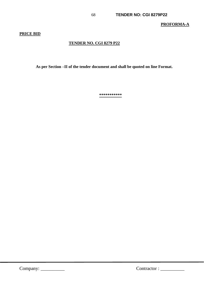**PROFORMA-A**

## **PRICE BID**

# **TENDER NO. CGI 8279 P22**

 **As per Section –II of the tender document and shall be quoted on line Format.** 

**\*\*\*\*\*\*\*\*\*\*\***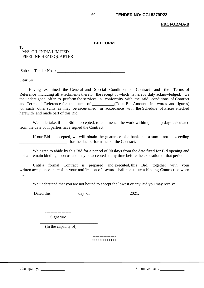#### **BID FORM**

To M/S. OIL INDIA LIMITED, PIPELINE HEAD QUARTER

 $Sub:$  Tender No. :

Dear Sir,

Having examined the General and Special Conditions of Contract and the Terms of Reference including all attachments thereto, the receipt of which is hereby duly acknowledged, we the undersigned offer to perform the services in conformity with the said conditions of Contract and Terms of Reference for the sum of \_\_\_\_\_\_\_\_\_\_\_(Total Bid Amount in words and figures) or such other sums as may be ascertained in accordance with the Schedule of Prices attached herewith and made part of this Bid.

We undertake, if our Bid is accepted, to commence the work within () days calculated from the date both parties have signed the Contract.

 If our Bid is accepted, we will obtain the guarantee of a bank in a sum not exceeding for the due performance of the Contract.

 We agree to abide by this Bid for a period of **90 days** from the date fixed for Bid opening and it shall remain binding upon us and may be accepted at any time before the expiration of that period.

 Until a formal Contract is prepared and executed, this Bid, together with your written acceptance thereof in your notification of award shall constitute a binding Contract between us.

We understand that you are not bound to accept the lowest or any Bid you may receive.

Dated this day of  $2021$ .

 ------------------- Signature

 $\frac{1}{2}$  ,  $\frac{1}{2}$  ,  $\frac{1}{2}$  ,  $\frac{1}{2}$  ,  $\frac{1}{2}$  ,  $\frac{1}{2}$  ,  $\frac{1}{2}$  ,  $\frac{1}{2}$  ,  $\frac{1}{2}$  ,  $\frac{1}{2}$  ,  $\frac{1}{2}$  ,  $\frac{1}{2}$  ,  $\frac{1}{2}$  ,  $\frac{1}{2}$  ,  $\frac{1}{2}$  ,  $\frac{1}{2}$  ,  $\frac{1}{2}$  ,  $\frac{1}{2}$  ,  $\frac{1$ (In the capacity of)

> ----------------- \*\*\*\*\*\*\*\*\*\*\*\*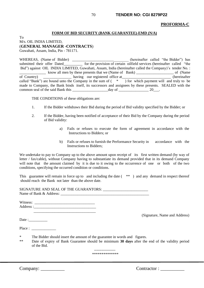#### **PROFORMA-C**

#### **FORM OF BID SECURITY (BANK GUARANTEE)-EMD (N/A)**

To M/s. OIL INDIA LIMITED, (**GENERAL MANAGER -CONTRACTS**) Guwahati, Assam, India, Pin - 781171.

WHEREAS, (Name of Bidder) \_\_\_\_\_\_\_\_\_\_\_\_\_\_\_\_\_\_\_\_\_\_\_\_\_\_\_\_\_\_\_(hereinafter called "the Bidder") has submitted their offer Dated\_\_\_\_\_\_\_\_\_\_ for the provision of certain oilfield services (hereinafter called "the Bid") against OIL INDIA LIMITED, Guwahati, Assam, India (hereinafter called the Company)'s tender No. : \_\_\_\_\_\_\_\_\_\_\_\_\_\_ know all men by these presents that we (Name of Bank) \_\_\_\_\_\_\_\_\_\_\_\_\_\_\_\_\_\_\_\_ of (Name of Country) having our registered office at (hereinafter called "Bank") are bound unto the Company in the sum of ( \* ) for which payment will and truly to be made to Company, the Bank binds itself, its successors and assignees by these presents. SEALED with the common seal of the said Bank this \_\_\_\_\_\_\_\_\_\_\_\_\_\_\_\_\_\_\_day of \_\_\_\_\_\_\_\_\_\_\_\_\_\_\_\_ 20\_\_\_.

THE CONDITIONS of these obligations are:

- 1. If the Bidder withdraws their Bid during the period of Bid validity specified by the Bidder; or
- 2. If the Bidder, having been notified of acceptance of their Bid by the Company during the period of Bid validity:
	- a) Fails or refuses to execute the form of agreement in accordance with the Instructions to Bidders; or
	- b) Fails or refuses to furnish the Performance Security in accordance with the Instructions to Bidders;

We undertake to pay to Company up to the above amount upon receipt of its first written demand (by way of letter / fax/cable), without Company having to substantiate its demand provided that in its demand Company will note that the amount claimed by it is due to it owing to the occurrence of one or both of the two conditions, specifying the occurred condition or conditions.

This guarantee will remain in force up to and including the date ( $**$ ) and any demand in respect thereof should reach the Bank not later than the above date.

SIGNATURE AND SEAL OF THE GUARANTORS: Name of Bank & Address:

Witness: \_\_\_\_\_\_\_\_\_\_\_\_\_\_\_\_\_\_\_\_\_\_\_\_\_\_\_\_\_\_\_\_ Address :\_\_\_\_\_\_\_\_\_\_\_\_\_\_\_\_\_\_\_\_\_\_\_\_\_\_\_\_\_\_\_\_\_

 $\overline{\phantom{a}}$  ,  $\overline{\phantom{a}}$  ,  $\overline{\phantom{a}}$  ,  $\overline{\phantom{a}}$  ,  $\overline{\phantom{a}}$  ,  $\overline{\phantom{a}}$  ,  $\overline{\phantom{a}}$  ,  $\overline{\phantom{a}}$  ,  $\overline{\phantom{a}}$  ,  $\overline{\phantom{a}}$  ,  $\overline{\phantom{a}}$  ,  $\overline{\phantom{a}}$  ,  $\overline{\phantom{a}}$  ,  $\overline{\phantom{a}}$  ,  $\overline{\phantom{a}}$  ,  $\overline{\phantom{a}}$ 

(Signature, Name and Address)

Date :

Place :

- \* The Bidder should insert the amount of the guarantee in words and figures.
- \*\* Date of expiry of Bank Guarantee should be minimum **30 days** after the end of the validity period of the Bid.

----------------- \*\*\*\*\*\*\*\*\*\*\*\*\*\*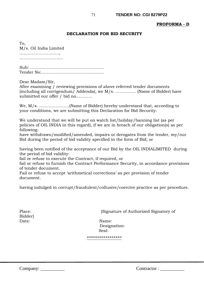## **PROFORMA - D**

### **DECLARATION FOR BID SECURITY**

To, M/s. Oil India Limited ……………………….., …………………………………

Sub: ……………………………………………… Tender No:……………………………………….

Dear Madam/Sir,

After examining / reviewing provisions of above referred tender documents (including all corrigendum/ Addenda), we M/s. …………… (Name of Bidder) have submitted our offer / bid no…………

We, M/s. ………………….(Name of Bidder) hereby understand that, according to your conditions, we are submitting this Declaration for Bid Security.

We understand that we will be put on watch list/holiday/banning list (as per policies of OIL INDIA in this regard), if we are in breach of our obligation(s) as per following:

have withdrawn/modified/amended, impairs or derogates from the tender, my/our Bid during the period of bid validity specified in the form of Bid; or

having been notified of the acceptance of our Bid by the OIL INDIALIMITED during the period of bid validity:

fail or refuse to execute the Contract, if required, or

fail or refuse to furnish the Contract Performance Security, in accordance provisions of tender document.

Fail or refuse to accept 'arithmetical corrections' as per provision of tender document.

having indulged in corrupt/fraudulent/collusive/coercive practice as per procedure.

Bidder] Date: Name:

Place: [Signature of Authorized Signatory of

 Designation: Seal:

\*\*\*\*\*\*\*\*\*\*\*\*\*\*\*\*\*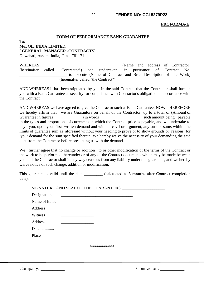#### **PROFORMA-E**

#### **FORM OF PERFORMANCE BANK GUARANTEE**

 $To^{\dagger}$ M/s. OIL INDIA LIMITED, ( **GENERAL MANAGER -CONTRACTS**)

Guwahati, Assam, India, Pin – 781171

WHEREAS **EXECUTE:** (Name and address of Contractor) (hereinafter called "Contractor") had undertaken, in pursuance of Contract No. to execute (Name of Contract and Brief Description of the Work) \_\_\_\_\_\_\_\_\_\_\_\_\_\_\_\_\_\_\_ (hereinafter called "the Contract").

AND WHEREAS it has been stipulated by you in the said Contract that the Contractor shall furnish you with a Bank Guarantee as security for compliance with Contractor's obligations in accordance with the Contract.

AND WHEREAS we have agreed to give the Contractor such a Bank Guarantee; NOW THEREFORE we hereby affirm that we are Guarantors on behalf of the Contractor, up to a total of (Amount of Guarantee in figures) \_\_\_\_\_\_\_\_\_\_\_\_\_ (in words \_\_\_\_\_\_\_\_\_\_\_\_\_\_\_\_\_\_\_\_\_\_), such amount being payable in the types and proportions of currencies in which the Contract price is payable, and we undertake to pay you, upon your first written demand and without cavil or argument, any sum or sums within the limits of guarantee sum as aforesaid without your needing to prove or to show grounds or reasons for your demand for the sum specified therein. We hereby waive the necessity of your demanding the said debt from the Contractor before presenting us with the demand.

We further agree that no change or addition to or other modification of the terms of the Contract or the work to be performed thereunder or of any of the Contract documents which may be made between you and the Contractor shall in any way cease us from any liability under this guarantee, and we hereby waive notice of such change, addition or modification.

This guarantee is valid until the date \_\_\_\_\_\_\_\_\_ (calculated at **3 months** after Contract completion date).

|              | SIGNATURE AND SEAL OF THE GUARANTORS                                                            |  |
|--------------|-------------------------------------------------------------------------------------------------|--|
| Designation  |                                                                                                 |  |
| Name of Bank |                                                                                                 |  |
| Address      | the contract of the contract of the contract of the contract of the contract of the contract of |  |
| Witness      |                                                                                                 |  |
| Address      |                                                                                                 |  |
| Date         |                                                                                                 |  |
| Place        |                                                                                                 |  |
|              |                                                                                                 |  |
|              | ************                                                                                    |  |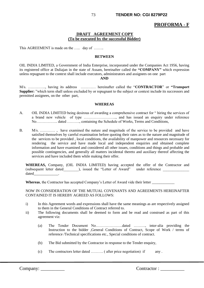# **PROFORMA - F**

## **DRAFT AGREEMENT COPY (To be executed by the successful Bidder)**

This AGREEMENT is made on the ..... day of .......

#### **BETWEEN**

OIL INDIA LIMITED, a Government of India Enterprise, incorporated under the Companies Act 1956, having its registered office at Duliajan in the state of Assam, hereinafter called the **"COMPANY"** which expression unless repugnant to the context shall include executors, administrators and assignees on one part

#### **AND**

M/s. ………….., having its address ………… hereinafter called the "**CONTRACTOR**" or **"Transport Supplier:** "which term shall unless excluded by or repugnant to the subject or context include its successors and permitted assignees, on the other part,

#### **WHEREAS**

- A. OIL INDIA LIMITED being desirous of awarding a comprehensive contract for " hiring the services of a brand new vehicle of type …………………….., and has issued an enquiry under reference No…………….. dated ………., containing the Schedule of Works, Terms and Conditions,
- B. M/s. ………… , have examined the nature and magnitude of the service to be provided and have satisfied themselves by careful examination before quoting their rates as to the nature and magnitude of the services to be provided , local conditions, the availability of manpower and resources necessary for rendering the service and have made local and independent enquiries and obtained complete information and have examined and considered all other issues, conditions and things and probable and possible contingencies, and generally all matters incidental thereto and auxiliary thereof affecting the services and have included them while making their offer.

**WHEREAS,** Company, (OIL INDIA LIMITED) having accepted the offer of the Contractor and (subsequent letter dated ), issued the "Letter of Award" under reference dated

**Whereas**, the Contractor has accepted Company's Letter of Award vide their letter \_\_\_\_\_\_\_\_\_\_\_\_

NOW IN CONSIDERATION OF THE MUTUAL COVENANTS AND AGREEMENTS HEREINAFTER CONTAINED IT IS HEREBY AGREED AS FOLLOWS:

- i) In this Agreement words and expressions shall have the same meanings as are respectively assigned to them in the General Conditions of Contract referred to.
- ii) The following documents shall be deemed to form and be read and construed as part of this agreement viz:
	- (a) The Tender Document No…………………dated ………, inter-alia providing the Instruction to the bidder ,General Conditions of Contract, Scope of Work / terms of reference /Technical specifications etc., Special conditions of contract.
	- (b) The Bid submitted by the Contractor in response to the Tender enquiry,
	- (c) The contractors letter dated ……….. (after price negotiation) if any .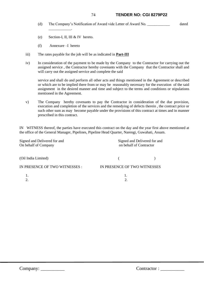### 74 **TENDER NO: CGI 8279P22**

- (d) The Company's Notification of Award vide Letter of Award No. \_\_\_\_\_\_\_\_\_\_\_\_ dated
- (e) Section-I, II, III & IV hereto.
- (f) Annexure –I hereto

\_\_\_\_\_\_\_\_\_\_\_\_.

- iii) The rates payable for the job will be as indicated in **Part-III**
- iv) In consideration of the payment to be made by the Company to the Contractor for carrying out the assigned service , the Contractor hereby covenants with the Company that the Contractor shall and will carry out the assigned service and complete the said

service and shall do and perform all other acts and things mentioned in the Agreement or described or which are to be implied there from or may be reasonably necessary for the execution of the said assignment in the desired manner and time and subject to the terms and conditions or stipulations mentioned in the Agreement.

v) The Company hereby covenants to pay the Contractor in consideration of the due provision, execution and completion of the services and the remedying of defects therein , the contract price or such other sum as may become payable under the provisions of this contract at times and in manner prescribed in this contract.

IN WITNESS thereof, the parties have executed this contract on the day and the year first above mentioned at the office of the General Manager, Pipelines, Pipeline Head Quarter, Narengi, Guwahati, Assam.

| Signed and Delivered for and<br>On behalf of Company | Signed and Delivered for and<br>on behalf of Contractor |  |  |  |
|------------------------------------------------------|---------------------------------------------------------|--|--|--|
| (Oil India Limited)                                  |                                                         |  |  |  |
| IN PRESENCE OF TWO WITNESSES :                       | IN PRESENCE OF TWO WITNESSES                            |  |  |  |
| 2.                                                   |                                                         |  |  |  |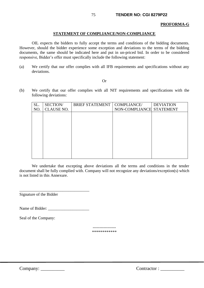#### **PROFORMA-G**

### **STATEMENT OF COMPLIANCE/NON-COMPLIANCE**

OIL expects the bidders to fully accept the terms and conditions of the bidding documents. However, should the bidder experience some exception and deviations to the terms of the bidding documents, the same should be indicated here and put in un-priced bid. In order to be considered responsive, Bidder's offer must specifically include the following statement:

(a) We certify that our offer complies with all IFB requirements and specifications without any deviations.

#### Or

(b) We certify that our offer complies with all NIT requirements and specifications with the following deviations:

| SL. | SECTION/          | <b>BRIEF STATEMENT</b> | COMPLIANCE/              | <b>DEVIATION</b> |
|-----|-------------------|------------------------|--------------------------|------------------|
| NO. | <b>CLAUSE NO.</b> |                        | NON-COMPLIANCE STATEMENT |                  |
|     |                   |                        |                          |                  |
|     |                   |                        |                          |                  |
|     |                   |                        |                          |                  |
|     |                   |                        |                          |                  |
|     |                   |                        |                          |                  |
|     |                   |                        |                          |                  |
|     |                   |                        |                          |                  |
|     |                   |                        |                          |                  |
|     |                   |                        |                          |                  |
|     |                   |                        |                          |                  |

We undertake that excepting above deviations all the terms and conditions in the tender document shall be fully complied with. Company will not recognize any deviations/exception(s) which is not listed in this Annexure.

Signature of the Bidder

Name of Bidder:

\_\_\_\_\_\_\_\_\_\_\_\_\_\_\_\_\_\_\_\_\_\_\_\_\_\_\_\_\_\_\_\_\_\_

Seal of the Company:

----------------- \*\*\*\*\*\*\*\*\*\*\*\*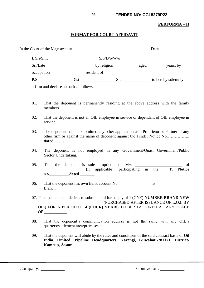### **PERFORMA – H**

### **FORMAT FOR COURT AFFIDAVIT**

|      |  |                        | Date                                                                                                                                                                                                                                |                    |  |
|------|--|------------------------|-------------------------------------------------------------------------------------------------------------------------------------------------------------------------------------------------------------------------------------|--------------------|--|
|      |  | S/O/D/O/W/O            |                                                                                                                                                                                                                                     |                    |  |
|      |  |                        |                                                                                                                                                                                                                                     |                    |  |
|      |  | occupation resident of |                                                                                                                                                                                                                                     |                    |  |
| P.S. |  |                        | <b>State</b> State State State State State State State State State State State State State State State State State State State State State State State State State State State State State State State State State State State Stat | to hereby solemnly |  |
|      |  |                        |                                                                                                                                                                                                                                     |                    |  |

affirm and declare an oath as follows:-

- 01. That the deponent is permanently residing at the above address with the family members.
- 02. That the deponent is not an OIL employee in service or dependant of OIL employee in service.
- 03. The deponent has not submitted any other application as a Proprietor or Partner of any other firm or against the name of deponent against the Tender Notice No…**………….. dated ……….**
- 04. The deponent is not employed in any Government/Quasi Government/Public Sector Undertaking.
- 05. That the deponent is sole proprietor of  $M/s$   $\qquad \qquad$  of \_\_\_\_\_\_\_\_\_\_\_\_\_\_\_\_\_\_ (if applicable) participating in the **T. Notice No**\_\_\_\_\_\_\_\_\_\_**dated** \_\_\_\_\_\_\_.
- 06. That the deponent has own Bank account No \_\_\_\_\_\_\_\_\_\_\_\_\_\_\_\_ at \_\_\_\_\_\_\_\_\_\_\_\_\_\_\_ Branch
- 07. That the deponent desires to submit a bid for supply of 1 (ONE**) NUMBER BRAND NEW \_\_\_\_\_\_\_\_\_\_\_\_\_\_\_\_\_\_\_\_\_\_\_\_\_\_\_\_\_\_\_\_**(PURCHASED AFTER ISSUANCE OF L.O.I. BY OIL) FOR A PERIOD OF **4 (FOUR) YEARS** TO BE STATIONED AT ANY PLACE OF \_\_\_\_\_\_\_\_.
- 08. That the deponent's communication address is not the same with any OIL's quarters/settlement area/premises etc.
- 09. That the deponent will abide by the rules and conditions of the said contract basis of **Oil India Limited, Pipeline Headquarters, Narengi, Guwahati-781171, District-Kamrup, Assam.**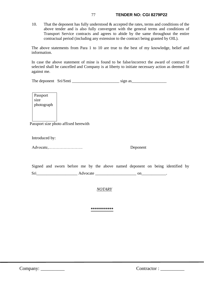### 77 **TENDER NO: CGI 8279P22**

10. That the deponent has fully understood & accepted the rates, terms and conditions of the above tender and is also fully convergent with the general terms and conditions of Transport Service contracts and agrees to abide by the same throughout the entire contractual period (including any extension to the contract being granted by OIL).

The above statements from Para 1 to 10 are true to the best of my knowledge, belief and information.

In case the above statement of mine is found to be false/incorrect the award of contract if selected shall be cancelled and Company is at liberty to initiate necessary action as deemed fit against me.

| The deponent Sri/Smti |  | sign as |
|-----------------------|--|---------|
|-----------------------|--|---------|

Passport size photograph

Passport size photo affixed herewith

Introduced by:

Advocate,……………………. Deponent

|     |  |          |  |  |  | Signed and sworn before me by the above named deponent on being identified by |  |
|-----|--|----------|--|--|--|-------------------------------------------------------------------------------|--|
| Sri |  | Advocate |  |  |  |                                                                               |  |

*NOTARY*

**\*\*\*\*\*\*\*\*\*\*\***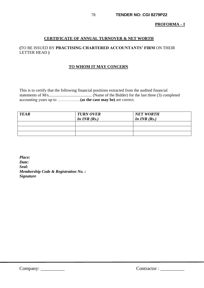## **PROFORMA – I**

## **CERTIFICATE OF ANNUAL TURNOVER & NET WORTH**

## **(**TO BE ISSUED BY **PRACTISING CHARTERED ACCOUNTANTS' FIRM** ON THEIR LETTER HEAD **)**

### **TO WHOM IT MAY CONCERN**

This is to certify that the following financial positions extracted from the audited financial statements of M/s.......................................... (Name of the Bidder) for the last three (3) completed accounting years up to ……………..**(as the case may be)** are correct.

| <b>YEAR</b> | <b>TURN OVER</b><br>In $INR(Rs.)$ | <b>NET WORTH</b><br>In $INR$ (Rs.) |
|-------------|-----------------------------------|------------------------------------|
|             |                                   |                                    |
|             |                                   |                                    |
|             |                                   |                                    |

*Place: Date: Seal: Membership Code & Registration No. : Signature*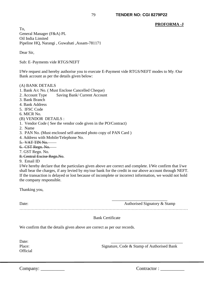### **PROFORMA -J**

To, General Manager (F&A) PL Oil India Limited Pipeline HQ, Narangi , Guwahati ,Assam-781171

Dear Sir,

Sub: E–Payments vide RTGS/NEFT

I/We request and hereby authorise you to execute E-Payment vide RTGS/NEFT modes to My /Our Bank account as per the details given below:

#### (A) BANK DETAILS

- 1. Bank A/c No. ( Must Enclose Cancelled Cheque)
- 2. Account Type Saving Bank/ Current Account
- 3. Bank Branch
- 4. Bank Address
- 5. IFSC Code
- 6. MICR No.
- (B) VENDOR DETAILS :
- 1. Vendor Code ( See the vendor code given in the PO/Contract)
- 2. Name
- 3. PAN No. (Must enclosed self-attested photo copy of PAN Card )
- 4. Address with Mobile/Telephone No.
- 5. VAT TIN No.
- 6. CST Regn. No.
- 7. GST Regn. No.
- 8. Central Excise Regn.No.

#### 9. Email ID

I/We hereby declare that the particulars given above are correct and complete. I/We confirm that I/we shall bear the charges, if any levied by my/our bank for the credit in our above account through NEFT. If the transaction is delayed or lost because of incomplete or incorrect information, we would not hold the company responsible.

Thanking you,

Date: Authorised Signatory & Stamp ……………………………………………………………………………………………………………

#### Bank Certificate

We confirm that the details given above are correct as per our records.

Date: **Official** 

Place: Signature, Code & Stamp of Authorised Bank

 $\frac{1}{\sqrt{2}}$  ,  $\frac{1}{\sqrt{2}}$  ,  $\frac{1}{\sqrt{2}}$  ,  $\frac{1}{\sqrt{2}}$  ,  $\frac{1}{\sqrt{2}}$  ,  $\frac{1}{\sqrt{2}}$  ,  $\frac{1}{\sqrt{2}}$  ,  $\frac{1}{\sqrt{2}}$  ,  $\frac{1}{\sqrt{2}}$  ,  $\frac{1}{\sqrt{2}}$  ,  $\frac{1}{\sqrt{2}}$  ,  $\frac{1}{\sqrt{2}}$  ,  $\frac{1}{\sqrt{2}}$  ,  $\frac{1}{\sqrt{2}}$  ,  $\frac{1}{\sqrt{2}}$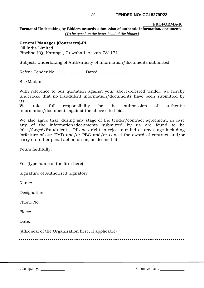#### **PROFORMA-K Format of Undertaking by Bidders towards submission of authentic information/ documents** *(To be typed on the letter head of the bidder)*

# **General Manager (Contracts)-PL**

Oil India Limited Pipeline HQ, Narangi , Guwahati ,Assam-781171

Subject: Undertaking of Authenticity of Information/documents submitted

Refer : Tender No…………………..Dated…………………

Sir/Madam

With reference to our quotation against your above-referred tender, we hereby undertake that no fraudulent information/documents have been submitted by us.

We take full responsibility for the submission of authentic information/documents against the above cited bid.

We also agree that, during any stage of the tender/contract agreement, in case any of the information/documents submitted by us are found to be false/forged/fraudulent , OIL has right to reject our bid at any stage including forfeiture of our EMD and/or PBG and/or cancel the award of contract and/or carry out other penal action on us, as deemed fit.

Yours faithfully,

For (type name of the firm here)

Signature of Authorised Signatory

Name:

Designation:

Phone No:

Place:

Date:

(Affix seal of the Organization here, if applicable)